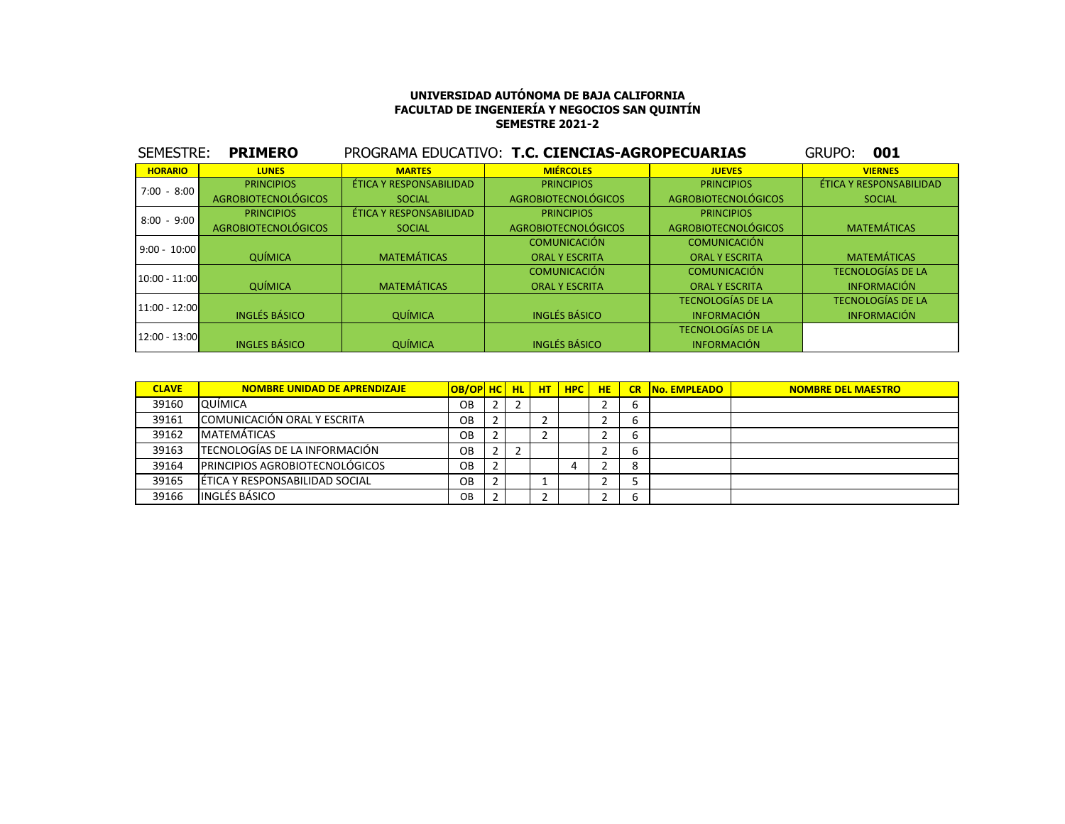| SEMESTRE:       | <b>PRIMERO</b>             |                         | PROGRAMA EDUCATIVO: T.C. CIENCIAS-AGROPECUARIAS |                            | 001<br>GRUPO:            |
|-----------------|----------------------------|-------------------------|-------------------------------------------------|----------------------------|--------------------------|
| <b>HORARIO</b>  | <b>LUNES</b>               | <b>MARTES</b>           | <b>MIÉRCOLES</b>                                | <b>JUEVES</b>              | <b>VIERNES</b>           |
| $7:00 - 8:00$   | <b>PRINCIPIOS</b>          | ÉTICA Y RESPONSABILIDAD | <b>PRINCIPIOS</b>                               | <b>PRINCIPIOS</b>          | ÉTICA Y RESPONSABILIDAD  |
|                 | <b>AGROBIOTECNOLÓGICOS</b> | <b>SOCIAL</b>           | AGROBIOTECNOLÓGICOS                             | <b>AGROBIOTECNOLÓGICOS</b> | <b>SOCIAL</b>            |
| $8:00 - 9:00$   | <b>PRINCIPIOS</b>          | ÉTICA Y RESPONSABILIDAD | <b>PRINCIPIOS</b>                               | <b>PRINCIPIOS</b>          |                          |
|                 | <b>AGROBIOTECNOLÓGICOS</b> | <b>SOCIAL</b>           | <b>AGROBIOTECNOLÓGICOS</b>                      | <b>AGROBIOTECNOLÓGICOS</b> | <b>MATEMÁTICAS</b>       |
| $9:00 - 10:00$  |                            |                         | <b>COMUNICACIÓN</b>                             | <b>COMUNICACIÓN</b>        |                          |
|                 | QUÍMICA                    | <b>MATEMÁTICAS</b>      | <b>ORAL Y ESCRITA</b>                           | <b>ORAL Y ESCRITA</b>      | <b>MATEMÁTICAS</b>       |
| $10:00 - 11:00$ |                            |                         | <b>COMUNICACIÓN</b>                             | <b>COMUNICACIÓN</b>        | <b>TECNOLOGÍAS DE LA</b> |
|                 | <b>QUÍMICA</b>             | <b>MATEMÁTICAS</b>      | <b>ORAL Y ESCRITA</b>                           | <b>ORAL Y ESCRITA</b>      | <b>INFORMACIÓN</b>       |
| $11:00 - 12:00$ |                            |                         |                                                 | <b>TECNOLOGÍAS DE LA</b>   | <b>TECNOLOGÍAS DE LA</b> |
|                 | <b>INGLÉS BÁSICO</b>       | <b>QUÍMICA</b>          | <b>INGLÉS BÁSICO</b>                            | <b>INFORMACIÓN</b>         | <b>INFORMACIÓN</b>       |
| $12:00 - 13:00$ |                            |                         |                                                 | <b>TECNOLOGÍAS DE LA</b>   |                          |
|                 | <b>INGLES BÁSICO</b>       | <b>QUÍMICA</b>          | <b>INGLÉS BÁSICO</b>                            | <b>INFORMACIÓN</b>         |                          |

| <b>CLAVE</b> | <b>NOMBRE UNIDAD DE APRENDIZAJE</b>    | OB/OP HC HL HT |  | <b>HPC</b> | <b>HE</b> | <b>CR No. EMPLEADO</b> | <b>NOMBRE DEL MAESTRO</b> |
|--------------|----------------------------------------|----------------|--|------------|-----------|------------------------|---------------------------|
| 39160        | QUÍMICA                                | OВ             |  |            |           |                        |                           |
| 39161        | COMUNICACIÓN ORAL Y ESCRITA            | OВ             |  |            |           |                        |                           |
| 39162        | MATEMÁTICAS                            | OВ             |  |            |           |                        |                           |
| 39163        | <b>TECNOLOGÍAS DE LA INFORMACIÓN</b>   | OB.            |  |            |           |                        |                           |
| 39164        | <b>IPRINCIPIOS AGROBIOTECNOLÓGICOS</b> | OВ             |  |            |           |                        |                           |
| 39165        | LÉTICA Y RESPONSABILIDAD SOCIAL        | OB.            |  |            |           |                        |                           |
| 39166        | <b>INGLÉS BÁSICO</b>                   | OB             |  |            |           |                        |                           |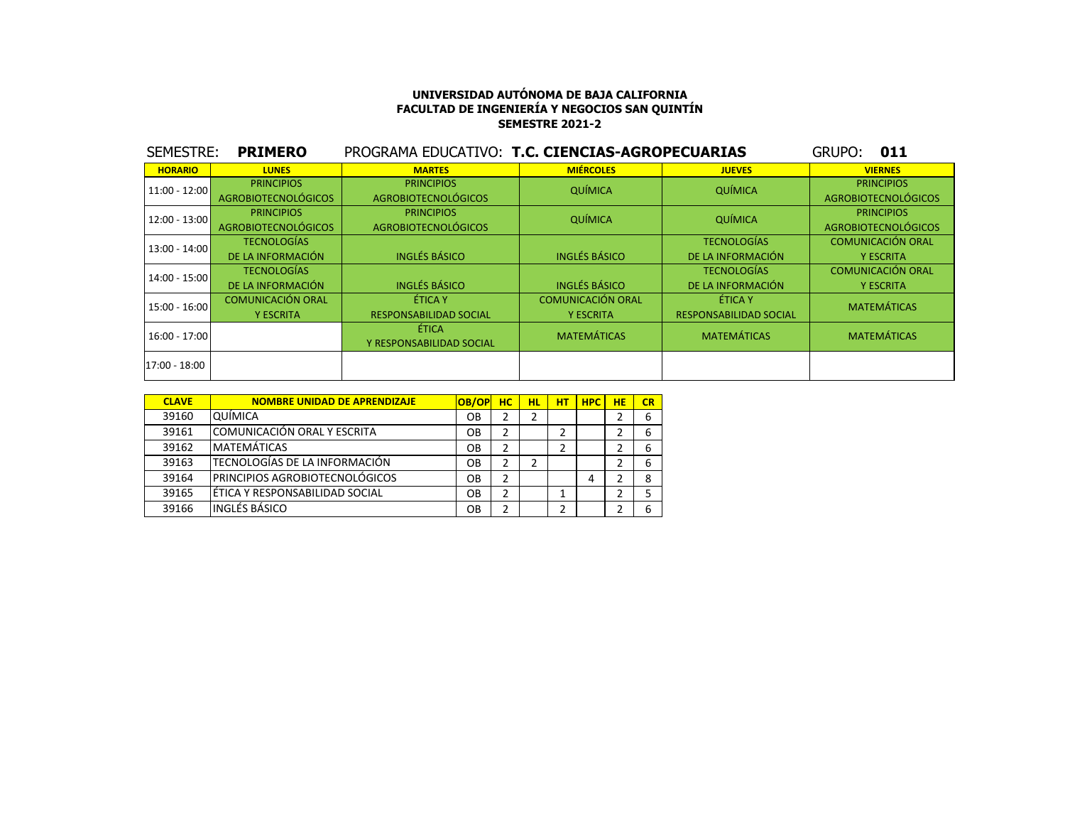| SEMESTRE:       | <b>PRIMERO</b>             | PROGRAMA EDUCATIVO: T.C. CIENCIAS-AGROPECUARIAS |                          |                               | GRUPO:<br>011              |
|-----------------|----------------------------|-------------------------------------------------|--------------------------|-------------------------------|----------------------------|
| <b>HORARIO</b>  | <b>LUNES</b>               | <b>MARTES</b>                                   | <b>MIÉRCOLES</b>         | <b>JUEVES</b>                 | <b>VIERNES</b>             |
| $11:00 - 12:00$ | <b>PRINCIPIOS</b>          | <b>PRINCIPIOS</b>                               | QUÍMICA                  | QUÍMICA                       | <b>PRINCIPIOS</b>          |
|                 | <b>AGROBIOTECNOLÓGICOS</b> | <b>AGROBIOTECNOLÓGICOS</b>                      |                          |                               | <b>AGROBIOTECNOLÓGICOS</b> |
| 12:00 - 13:00   | <b>PRINCIPIOS</b>          | <b>PRINCIPIOS</b>                               | QUÍMICA                  |                               | <b>PRINCIPIOS</b>          |
|                 | <b>AGROBIOTECNOLÓGICOS</b> | <b>QUÍMICA</b><br><b>AGROBIOTECNOLÓGICOS</b>    |                          |                               | <b>AGROBIOTECNOLÓGICOS</b> |
| $13:00 - 14:00$ | <b>TECNOLOGÍAS</b>         |                                                 |                          | <b>TECNOLOGÍAS</b>            | <b>COMUNICACIÓN ORAL</b>   |
|                 | DE LA INFORMACIÓN          | <b>INGLÉS BÁSICO</b>                            | <b>INGLÉS BÁSICO</b>     | DE LA INFORMACIÓN             | <b>Y ESCRITA</b>           |
| $14:00 - 15:00$ | <b>TECNOLOGÍAS</b>         |                                                 |                          | <b>TECNOLOGÍAS</b>            | <b>COMUNICACIÓN ORAL</b>   |
|                 | DE LA INFORMACIÓN          | <b>INGLÉS BÁSICO</b>                            | <b>INGLÉS BÁSICO</b>     | DE LA INFORMACIÓN             | <b>Y ESCRITA</b>           |
| 15:00 - 16:00   | <b>COMUNICACIÓN ORAL</b>   | ÉTICA Y                                         | <b>COMUNICACIÓN ORAL</b> | ÉTICA Y                       | <b>MATEMÁTICAS</b>         |
|                 | <b>Y ESCRITA</b>           | <b>RESPONSABILIDAD SOCIAL</b>                   | <b>Y ESCRITA</b>         | <b>RESPONSABILIDAD SOCIAL</b> |                            |
|                 |                            | ÉTICA                                           | <b>MATEMÁTICAS</b>       | <b>MATEMÁTICAS</b>            | <b>MATEMÁTICAS</b>         |
| $16:00 - 17:00$ |                            | Y RESPONSABILIDAD SOCIAL                        |                          |                               |                            |
| 17:00 - 18:00   |                            |                                                 |                          |                               |                            |
|                 |                            |                                                 |                          |                               |                            |

| <b>CLAVE</b> | <b>NOMBRE UNIDAD DE APRENDIZAJE</b>  | <b>OB/OP</b> | нc | HL | нт | <b>HPC</b> | <b>HE</b> | CR |
|--------------|--------------------------------------|--------------|----|----|----|------------|-----------|----|
| 39160        | QUÍMICA                              | OΒ           | 2  |    |    |            |           | 6  |
| 39161        | ICOMUNICACIÓN ORAL Y ESCRITA         | OВ           | 2  |    |    |            |           | 6  |
| 39162        | <b>MATEMÁTICAS</b>                   | OΒ           | 2  |    | 2  |            |           | 6  |
| 39163        | <b>TECNOLOGÍAS DE LA INFORMACIÓN</b> | OΒ           | 2  | 2  |    |            |           | 6  |
| 39164        | IPRINCIPIOS AGROBIOTECNOLÓGICOS      | OВ           | 2  |    |    | 4          |           | 8  |
| 39165        | lÉTICA Y RESPONSABILIDAD SOCIAL      | OΒ           | 2  |    |    |            |           |    |
| 39166        | <b>INGLÉS BÁSICO</b>                 | OВ           | 2  |    |    |            |           | 6  |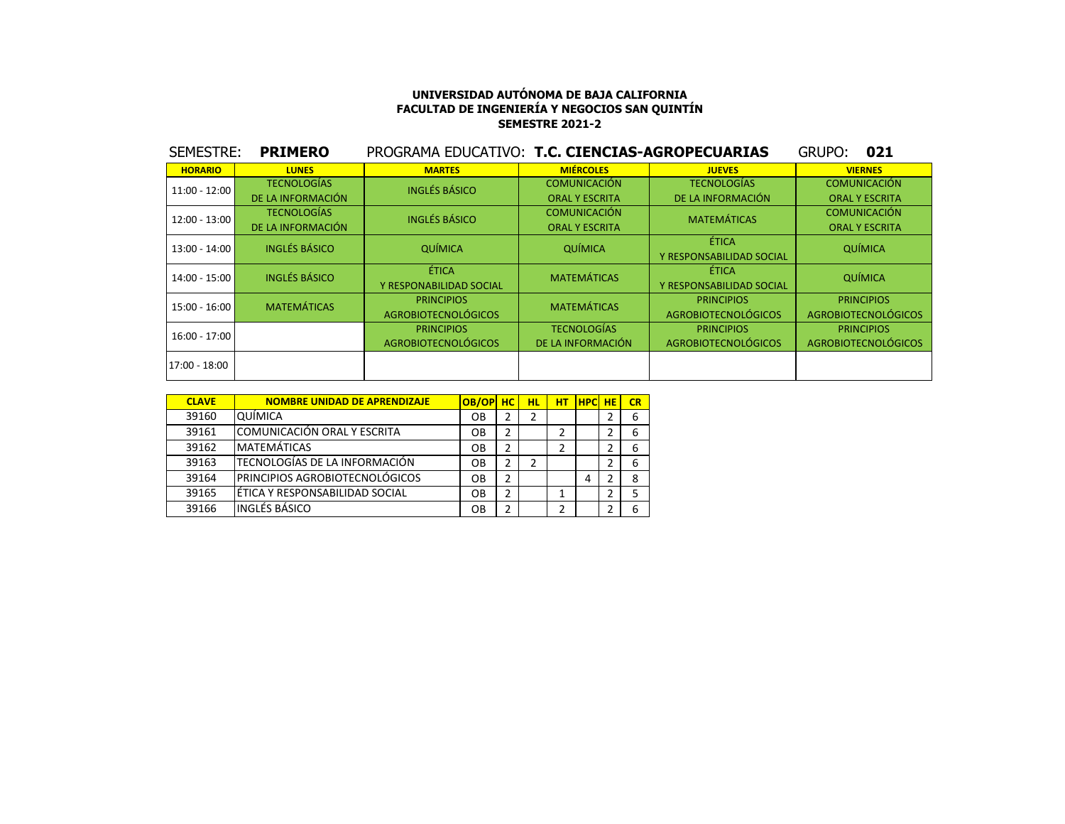| SEMESTRE:       | <b>PRIMERO</b>       | PROGRAMA EDUCATIVO: T.C. CIENCIAS-AGROPECUARIAS |                       |                            | 021<br>GRUPO:              |  |
|-----------------|----------------------|-------------------------------------------------|-----------------------|----------------------------|----------------------------|--|
| <b>HORARIO</b>  | <b>LUNES</b>         | <b>MARTES</b>                                   | <b>MIÉRCOLES</b>      | <b>JUEVES</b>              | <b>VIERNES</b>             |  |
| $11:00 - 12:00$ | <b>TECNOLOGÍAS</b>   | <b>INGLÉS BÁSICO</b>                            | <b>COMUNICACIÓN</b>   | <b>TECNOLOGÍAS</b>         | <b>COMUNICACIÓN</b>        |  |
|                 | DE LA INFORMACIÓN    |                                                 | <b>ORAL Y ESCRITA</b> | DE LA INFORMACIÓN          | <b>ORAL Y ESCRITA</b>      |  |
| $12:00 - 13:00$ | <b>TECNOLOGÍAS</b>   | <b>INGLÉS BÁSICO</b>                            | <b>COMUNICACIÓN</b>   | <b>MATEMÁTICAS</b>         | <b>COMUNICACIÓN</b>        |  |
|                 | DE LA INFORMACIÓN    |                                                 | <b>ORAL Y ESCRITA</b> |                            | <b>ORAL Y ESCRITA</b>      |  |
| $13:00 - 14:00$ | <b>INGLÉS BÁSICO</b> | QUÍMICA                                         | ÉTICA<br>QUÍMICA      |                            | <b>QUÍMICA</b>             |  |
|                 |                      |                                                 |                       | Y RESPONSABILIDAD SOCIAL   |                            |  |
| $14:00 - 15:00$ | <b>INGLÉS BÁSICO</b> | ÉTICA                                           | <b>MATEMÁTICAS</b>    | ÉTICA                      | QUÍMICA                    |  |
|                 |                      | Y RESPONABILIDAD SOCIAL                         |                       | Y RESPONSABILIDAD SOCIAL   |                            |  |
| $15:00 - 16:00$ | <b>MATEMÁTICAS</b>   | <b>PRINCIPIOS</b>                               | <b>MATEMÁTICAS</b>    | <b>PRINCIPIOS</b>          | <b>PRINCIPIOS</b>          |  |
|                 |                      | <b>AGROBIOTECNOLÓGICOS</b>                      |                       | <b>AGROBIOTECNOLÓGICOS</b> | <b>AGROBIOTECNOLÓGICOS</b> |  |
| $16:00 - 17:00$ |                      | <b>PRINCIPIOS</b>                               | <b>TECNOLOGÍAS</b>    | <b>PRINCIPIOS</b>          | <b>PRINCIPIOS</b>          |  |
|                 |                      | <b>AGROBIOTECNOLÓGICOS</b>                      | DE LA INFORMACIÓN     | <b>AGROBIOTECNOLÓGICOS</b> | <b>AGROBIOTECNOLÓGICOS</b> |  |
| 17:00 - 18:00   |                      |                                                 |                       |                            |                            |  |

| <b>CLAVE</b> | <b>NOMBRE UNIDAD DE APRENDIZAJE</b> | OB/OP | <b>HC</b> | нL | HТ | <b>HPC</b> | <b>HE</b> | CR |
|--------------|-------------------------------------|-------|-----------|----|----|------------|-----------|----|
| 39160        | QUÍMICA                             | OВ    | 2         |    |    |            |           | 6  |
| 39161        | COMUNICACIÓN ORAL Y ESCRITA         | OВ    | 2         |    | 2  |            |           | b  |
| 39162        | <b>MATEMÁTICAS</b>                  | OВ    |           |    | 2  |            |           | 6  |
| 39163        | TECNOLOGÍAS DE LA INFORMACIÓN       | OВ    | 2         |    |    |            |           | 6  |
| 39164        | PRINCIPIOS AGROBIOTECNOLÓGICOS      | OΒ    | 2         |    |    | 4          |           |    |
| 39165        | ÉTICA Y RESPONSABILIDAD SOCIAL      | OВ    | 2         |    |    |            |           |    |
| 39166        | INGLÉS BÁSICO                       | OВ    | っ         |    | າ  |            |           | h  |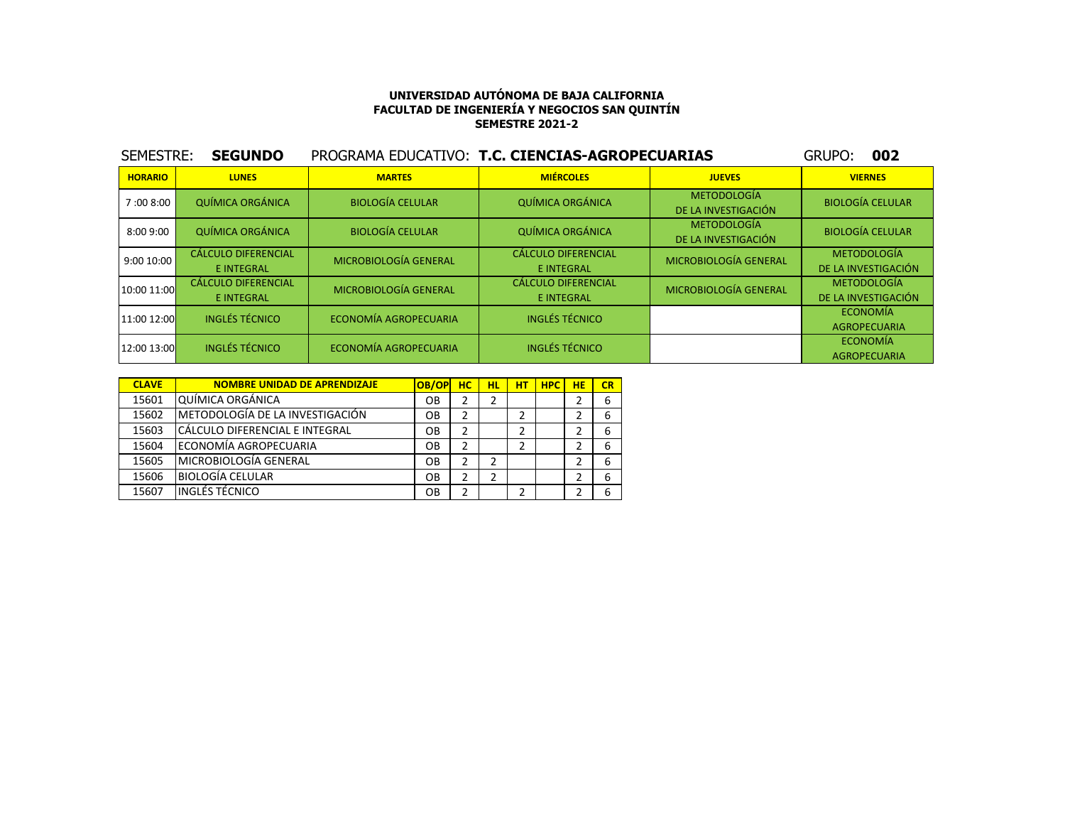| SEMESTRE:      | <b>SEGUNDO</b>                                  |                         | PROGRAMA EDUCATIVO: T.C. CIENCIAS-AGROPECUARIAS |                                           | 002<br>GRUPO:                             |
|----------------|-------------------------------------------------|-------------------------|-------------------------------------------------|-------------------------------------------|-------------------------------------------|
| <b>HORARIO</b> | <b>LUNES</b>                                    | <b>MARTES</b>           | <b>MIÉRCOLES</b>                                | <b>JUEVES</b>                             | <b>VIERNES</b>                            |
| 7:00 8:00      | <b>QUÍMICA ORGÁNICA</b>                         | <b>BIOLOGÍA CELULAR</b> | <b>QUÍMICA ORGÁNICA</b>                         | <b>METODOLOGÍA</b><br>DE LA INVESTIGACIÓN | <b>BIOLOGÍA CELULAR</b>                   |
| 8:00 9:00      | <b>QUÍMICA ORGÁNICA</b>                         | <b>BIOLOGÍA CELULAR</b> | <b>QUÍMICA ORGÁNICA</b>                         | <b>METODOLOGÍA</b><br>DE LA INVESTIGACIÓN | <b>BIOLOGÍA CELULAR</b>                   |
| 9:00 10:00     | <b>CÁLCULO DIFERENCIAL</b><br><b>E INTEGRAL</b> | MICROBIOLOGÍA GENERAL   | <b>CÁLCULO DIFERENCIAL</b><br><b>E INTEGRAL</b> | <b>MICROBIOLOGÍA GENERAL</b>              | <b>METODOLOGÍA</b><br>DE LA INVESTIGACIÓN |
| 10:00 11:00    | <b>CÁLCULO DIFERENCIAL</b><br><b>E INTEGRAL</b> | MICROBIOLOGÍA GENERAL   | <b>CÁLCULO DIFERENCIAL</b><br><b>E INTEGRAL</b> | MICROBIOLOGÍA GENERAL                     | <b>METODOLOGÍA</b><br>DE LA INVESTIGACIÓN |
| 11:00 12:00    | <b>INGLÉS TÉCNICO</b>                           | ECONOMÍA AGROPECUARIA   | <b>INGLÉS TÉCNICO</b>                           |                                           | <b>ECONOMÍA</b><br><b>AGROPECUARIA</b>    |
| 12:00 13:00    | <b>INGLÉS TÉCNICO</b>                           | ECONOMÍA AGROPECUARIA   | <b>INGLÉS TÉCNICO</b>                           |                                           | <b>ECONOMÍA</b><br><b>AGROPECUARIA</b>    |

| <b>CLAVE</b> | <b>NOMBRE UNIDAD DE APRENDIZAJE</b> | OB/OP | <b>HC</b> | <b>HL</b> | нт | <b>HPC</b> | <b>HE</b> | CR |
|--------------|-------------------------------------|-------|-----------|-----------|----|------------|-----------|----|
| 15601        | <b>QUÍMICA ORGÁNICA</b>             | OB    |           | 2         |    |            |           | 6  |
| 15602        | IMETODOLOGÍA DE LA INVESTIGACIÓN    | OB    | 2         |           | 2  |            |           | 6  |
| 15603        | CÁLCULO DIFERENCIAL E INTEGRAL      | OB    | 2         |           | 2  |            |           | 6  |
| 15604        | ECONOMÍA AGROPECUARIA               | OΒ    | 2         |           | 2  |            |           | 6  |
| 15605        | MICROBIOLOGÍA GENERAL               | OB    | 2         | 2         |    |            |           | 6  |
| 15606        | <b>BIOLOGÍA CELULAR</b>             | OB    | 2         | 2         |    |            |           | 6  |
| 15607        | <b>INGLÉS TÉCNICO</b>               | OB    | 2         |           |    |            |           | 6  |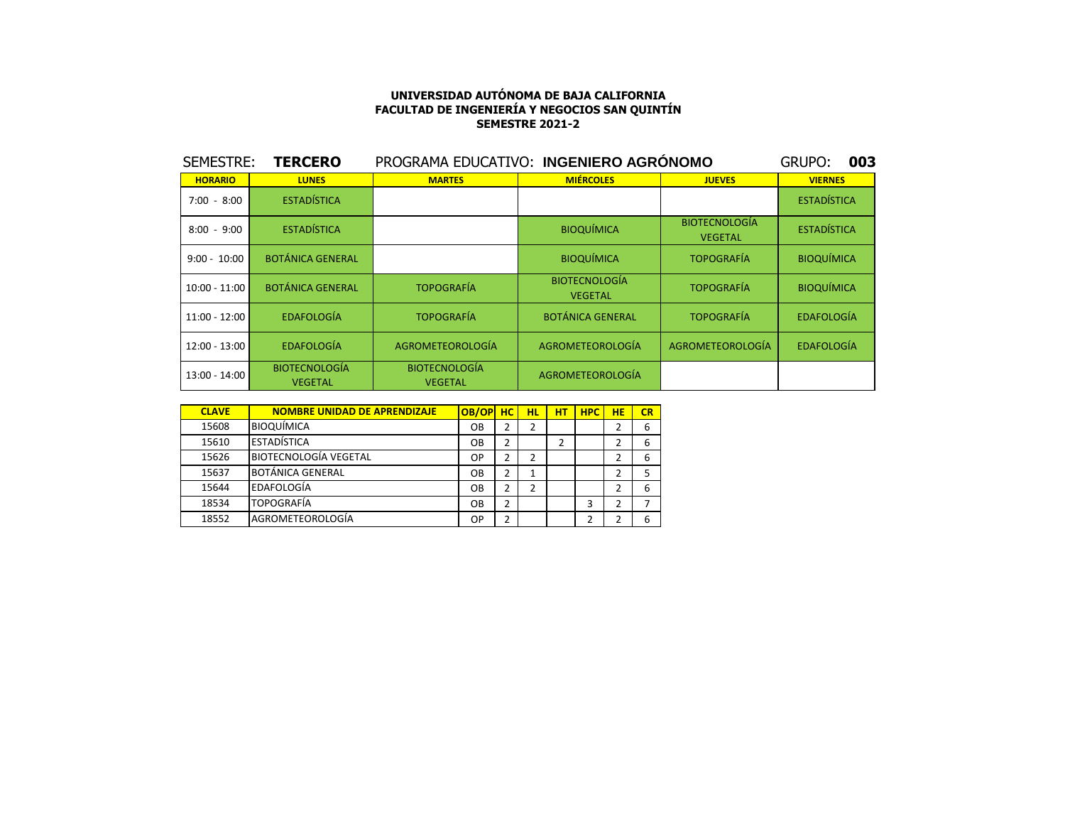| SEMESTRE:      | <b>TERCERO</b>                         | PROGRAMA EDUCATIVO: INGENIERO AGRÓNOMO |                                        |                                        | 003<br><b>GRUPO:</b> |
|----------------|----------------------------------------|----------------------------------------|----------------------------------------|----------------------------------------|----------------------|
| <b>HORARIO</b> | <b>LUNES</b>                           | <b>MARTES</b>                          | <b>MIÉRCOLES</b>                       | <b>JUEVES</b>                          | <b>VIERNES</b>       |
| $7:00 - 8:00$  | <b>ESTADÍSTICA</b>                     |                                        |                                        |                                        | <b>ESTADÍSTICA</b>   |
| $8:00 - 9:00$  | <b>ESTADÍSTICA</b>                     |                                        | <b>BIOQUÍMICA</b>                      | <b>BIOTECNOLOGÍA</b><br><b>VEGETAL</b> | <b>ESTADÍSTICA</b>   |
| $9:00 - 10:00$ | <b>BOTÁNICA GENERAL</b>                |                                        | <b>BIOQUÍMICA</b>                      | <b>TOPOGRAFÍA</b>                      | <b>BIOQUÍMICA</b>    |
| 10:00 - 11:00  | <b>BOTÁNICA GENERAL</b>                | <b>TOPOGRAFÍA</b>                      | <b>BIOTECNOLOGÍA</b><br><b>VEGETAL</b> | <b>TOPOGRAFÍA</b>                      | <b>BIOQUÍMICA</b>    |
| 11:00 - 12:00  | <b>EDAFOLOGÍA</b>                      | <b>TOPOGRAFÍA</b>                      | <b>BOTÁNICA GENERAL</b>                | <b>TOPOGRAFÍA</b>                      | <b>EDAFOLOGÍA</b>    |
| 12:00 - 13:00  | <b>EDAFOLOGÍA</b>                      | AGROMETEOROLOGÍA                       | AGROMETEOROLOGÍA                       | AGROMETEOROLOGÍA                       | <b>EDAFOLOGÍA</b>    |
| 13:00 - 14:00  | <b>BIOTECNOLOGÍA</b><br><b>VEGETAL</b> | <b>BIOTECNOLOGÍA</b><br><b>VEGETAL</b> | AGROMETEOROLOGÍA                       |                                        |                      |

| <b>CLAVE</b> | <b>NOMBRE UNIDAD DE APRENDIZAJE</b> | OB/OP     | <b>HC</b> | HL | НT | <b>HPC</b> | HE | CR |
|--------------|-------------------------------------|-----------|-----------|----|----|------------|----|----|
| 15608        | <b>BIOQUÍMICA</b>                   | OВ        | 2         | 2  |    |            | 2  | 6  |
| 15610        | <b>ESTADÍSTICA</b>                  | OВ        | 2         |    | C. |            | 2  | 6  |
| 15626        | <b>BIOTECNOLOGÍA VEGETAL</b>        | <b>OP</b> | 2         | 2  |    |            | 2  | 6  |
| 15637        | <b>BOTÁNICA GENERAL</b>             | OВ        | 2         |    |    |            | 2  | 5  |
| 15644        | EDAFOLOGÍA                          | OВ        | າ         | 2  |    |            | 2  | 6  |
| 18534        | <b>TOPOGRAFÍA</b>                   | OВ        | 2         |    |    | 3          | 2  |    |
| 18552        | AGROMETEOROLOGÍA                    | OP        | າ         |    |    | າ          | 2  | 6  |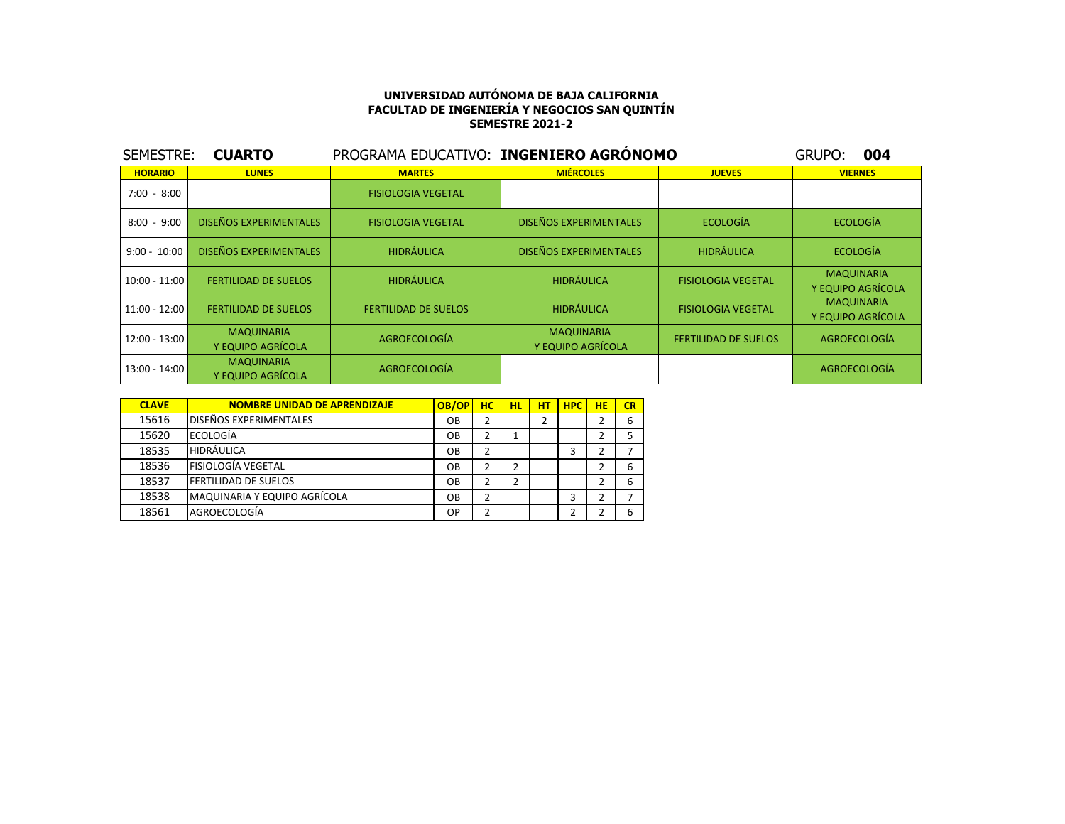| SEMESTRE:      | <b>CUARTO</b>                          | PROGRAMA EDUCATIVO: INGENIERO AGRÓNOMO |                                        |                             | 004<br>GRUPO:                          |
|----------------|----------------------------------------|----------------------------------------|----------------------------------------|-----------------------------|----------------------------------------|
| <b>HORARIO</b> | <b>LUNES</b>                           | <b>MARTES</b>                          | <b>MIÉRCOLES</b>                       | <b>JUEVES</b>               | <b>VIERNES</b>                         |
| $7:00 - 8:00$  |                                        | <b>FISIOLOGIA VEGETAL</b>              |                                        |                             |                                        |
| $8:00 - 9:00$  | <b>DISEÑOS EXPERIMENTALES</b>          | <b>FISIOLOGIA VEGETAL</b>              | <b>DISEÑOS EXPERIMENTALES</b>          | ECOLOGÍA                    | <b>ECOLOGÍA</b>                        |
| $9:00 - 10:00$ | <b>DISEÑOS EXPERIMENTALES</b>          | <b>HIDRÁULICA</b>                      | <b>DISEÑOS EXPERIMENTALES</b>          | <b>HIDRÁULICA</b>           | <b>ECOLOGÍA</b>                        |
| 10:00 - 11:00  | <b>FERTILIDAD DE SUELOS</b>            | <b>HIDRÁULICA</b>                      | <b>HIDRÁULICA</b>                      | <b>FISIOLOGIA VEGETAL</b>   | <b>MAQUINARIA</b><br>Y EQUIPO AGRÍCOLA |
| 11:00 - 12:00  | <b>FERTILIDAD DE SUELOS</b>            | <b>FERTILIDAD DE SUELOS</b>            | <b>HIDRÁULICA</b>                      | <b>FISIOLOGIA VEGETAL</b>   | <b>MAQUINARIA</b><br>Y EQUIPO AGRÍCOLA |
| 12:00 - 13:00  | <b>MAQUINARIA</b><br>Y EQUIPO AGRÍCOLA | AGROECOLOGÍA                           | <b>MAQUINARIA</b><br>Y EQUIPO AGRÍCOLA | <b>FERTILIDAD DE SUELOS</b> | <b>AGROECOLOGÍA</b>                    |
| 13:00 - 14:00  | <b>MAQUINARIA</b><br>Y EQUIPO AGRÍCOLA | AGROECOLOGÍA                           |                                        |                             | AGROECOLOGÍA                           |

| <b>CLAVE</b> | <b>NOMBRE UNIDAD DE APRENDIZAJE</b> | OB/OP     | <b>HC</b>      | <b>HL</b> | HТ | <b>HPC</b> | <b>HE</b> | CR |
|--------------|-------------------------------------|-----------|----------------|-----------|----|------------|-----------|----|
| 15616        | <b>IDISEÑOS EXPERIMENTALES</b>      | OB        | $\overline{2}$ |           |    |            |           | 6  |
| 15620        | <b>ECOLOGÍA</b>                     | OB        | $\overline{2}$ |           |    |            |           |    |
| 18535        | <b>HIDRÁULICA</b>                   | OB        | $\overline{2}$ |           |    | 3          |           |    |
| 18536        | FISIOLOGÍA VEGETAL                  | OB        | $\overline{2}$ | 2         |    |            |           | 6  |
| 18537        | <b>FERTILIDAD DE SUELOS</b>         | <b>OB</b> | $\overline{2}$ | 2         |    |            |           | 6  |
| 18538        | MAQUINARIA Y EQUIPO AGRÍCOLA        | OB        | $\overline{2}$ |           |    | 3          |           |    |
| 18561        | AGROECOLOGÍA                        | <b>OP</b> | $\overline{2}$ |           |    |            |           | 6  |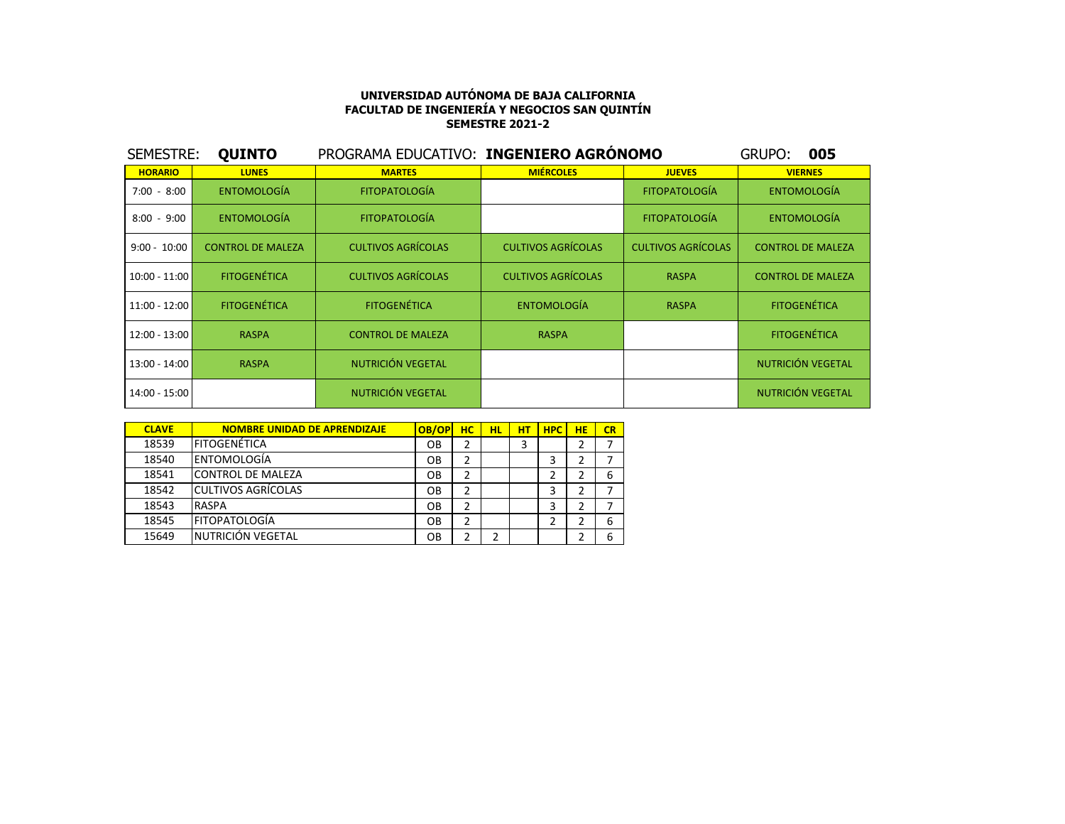| SEMESTRE:       | <b>QUINTO</b>            | PROGRAMA EDUCATIVO: INGENIERO AGRÓNOMO |                           |                           | GRUPO:<br>005            |
|-----------------|--------------------------|----------------------------------------|---------------------------|---------------------------|--------------------------|
| <b>HORARIO</b>  | <b>LUNES</b>             | <b>MARTES</b>                          | <b>MIÉRCOLES</b>          | <b>JUEVES</b>             | <b>VIERNES</b>           |
| $7:00 - 8:00$   | <b>ENTOMOLOGÍA</b>       | <b>FITOPATOLOGÍA</b>                   |                           | <b>FITOPATOLOGÍA</b>      | <b>ENTOMOLOGÍA</b>       |
| $8:00 - 9:00$   | <b>ENTOMOLOGÍA</b>       | <b>FITOPATOLOGÍA</b>                   |                           | <b>FITOPATOLOGÍA</b>      | <b>ENTOMOLOGÍA</b>       |
| $9:00 - 10:00$  | <b>CONTROL DE MALEZA</b> | <b>CULTIVOS AGRÍCOLAS</b>              | <b>CULTIVOS AGRÍCOLAS</b> | <b>CULTIVOS AGRÍCOLAS</b> | <b>CONTROL DE MALEZA</b> |
| 10:00 - 11:00   | <b>FITOGENÉTICA</b>      | <b>CULTIVOS AGRÍCOLAS</b>              | <b>CULTIVOS AGRÍCOLAS</b> | <b>RASPA</b>              | <b>CONTROL DE MALEZA</b> |
| $11:00 - 12:00$ | <b>FITOGENÉTICA</b>      | <b>FITOGENÉTICA</b>                    | <b>ENTOMOLOGÍA</b>        | <b>RASPA</b>              | <b>FITOGENÉTICA</b>      |
| 12:00 - 13:00   | <b>RASPA</b>             | <b>CONTROL DE MALEZA</b>               | <b>RASPA</b>              |                           | <b>FITOGENÉTICA</b>      |
| 13:00 - 14:00   | <b>RASPA</b>             | NUTRICIÓN VEGETAL                      |                           |                           | NUTRICIÓN VEGETAL        |
| 14:00 - 15:00   |                          | NUTRICIÓN VEGETAL                      |                           |                           | NUTRICIÓN VEGETAL        |

| <b>CLAVE</b> | <b>NOMBRE UNIDAD DE APRENDIZAJE</b> | OB/OP | HC. | HL. | нт | <b>HPC</b> | HE | CR |
|--------------|-------------------------------------|-------|-----|-----|----|------------|----|----|
| 18539        | IFITOGENÉTICA                       | OB    | 2   |     | 3  |            | 2  |    |
| 18540        | lentomología                        | OB    | 2   |     |    |            | 2  |    |
| 18541        | lCONTROL DE MALEZA                  | OB    | 2   |     |    |            | 2  | 6  |
| 18542        | <b>l</b> CULTIVOS AGRÍCOLAS         | OB    | 2   |     |    |            | 2  | 7  |
| 18543        | <b>RASPA</b>                        | OB    | 2   |     |    |            | 2  |    |
| 18545        | <b>FITOPATOLOGÍA</b>                | OB    | 2   |     |    | 2          | 2  | 6  |
| 15649        | INUTRICIÓN VEGETAL                  | OΒ    |     |     |    |            |    | 6  |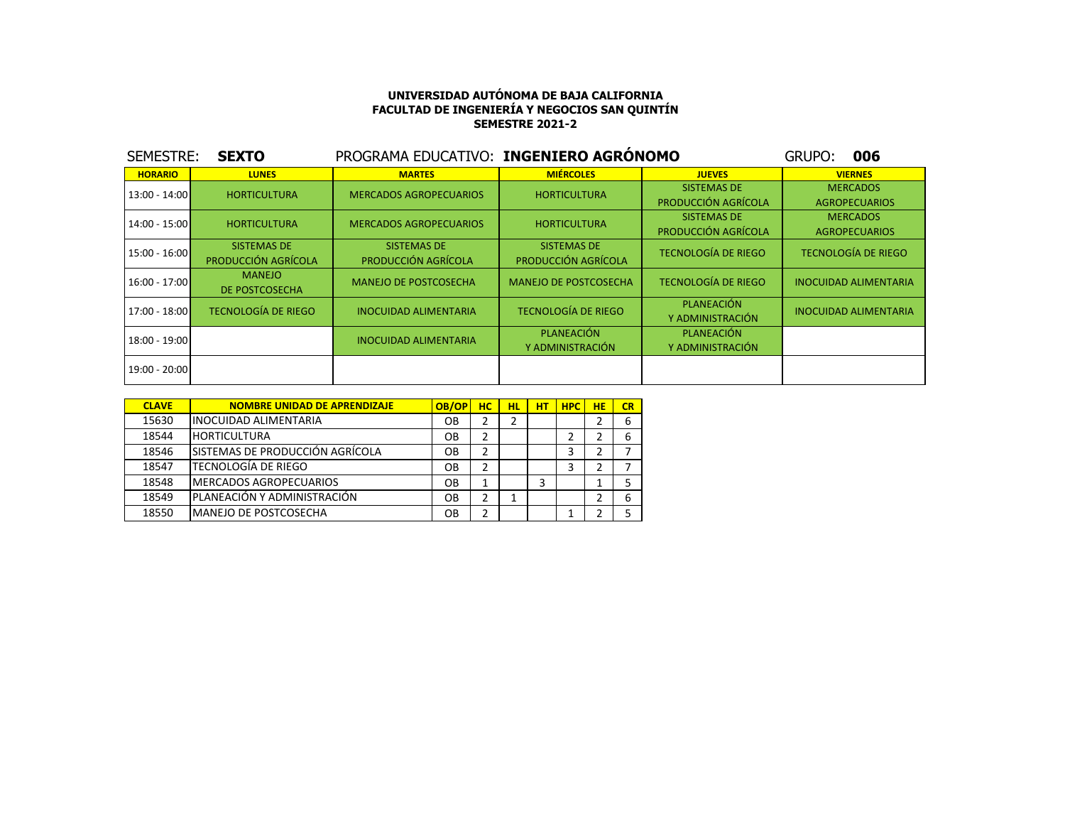| SEMESTRE:       | <b>SEXTO</b>                       | PROGRAMA EDUCATIVO: INGENIERO AGRÓNOMO |                                           |                                           | 006<br>GRUPO:                           |
|-----------------|------------------------------------|----------------------------------------|-------------------------------------------|-------------------------------------------|-----------------------------------------|
| <b>HORARIO</b>  | <b>LUNES</b>                       | <b>MARTES</b>                          | <b>MIÉRCOLES</b>                          | <b>JUEVES</b>                             | <b>VIERNES</b>                          |
| 13:00 - 14:00   | <b>HORTICULTURA</b>                | <b>MERCADOS AGROPECUARIOS</b>          | <b>HORTICULTURA</b>                       | <b>SISTEMAS DE</b><br>PRODUCCIÓN AGRÍCOLA | <b>MERCADOS</b><br><b>AGROPECUARIOS</b> |
| 14:00 - 15:00   | <b>HORTICULTURA</b>                | <b>MERCADOS AGROPECUARIOS</b>          | <b>HORTICULTURA</b>                       | <b>SISTEMAS DE</b><br>PRODUCCIÓN AGRÍCOLA | <b>MERCADOS</b><br><b>AGROPECUARIOS</b> |
| $15:00 - 16:00$ | SISTEMAS DE<br>PRODUCCIÓN AGRÍCOLA | SISTEMAS DE<br>PRODUCCIÓN AGRÍCOLA     | <b>SISTEMAS DE</b><br>PRODUCCIÓN AGRÍCOLA | <b>TECNOLOGÍA DE RIEGO</b>                | <b>TECNOLOGÍA DE RIEGO</b>              |
| $16:00 - 17:00$ | <b>MANEJO</b><br>DE POSTCOSECHA    | <b>MANEJO DE POSTCOSECHA</b>           | <b>MANEJO DE POSTCOSECHA</b>              | <b>TECNOLOGÍA DE RIEGO</b>                | <b>INOCUIDAD ALIMENTARIA</b>            |
| 17:00 - 18:00   | <b>TECNOLOGÍA DE RIEGO</b>         | <b>INOCUIDAD ALIMENTARIA</b>           | <b>TECNOLOGÍA DE RIEGO</b>                | PLANEACIÓN<br>Y ADMINISTRACIÓN            | <b>INOCUIDAD ALIMENTARIA</b>            |
| 18:00 - 19:00   |                                    | <b>INOCUIDAD ALIMENTARIA</b>           | PLANEACIÓN<br>Y ADMINISTRACIÓN            | PLANEACIÓN<br>Y ADMINISTRACIÓN            |                                         |
| 19:00 - 20:00   |                                    |                                        |                                           |                                           |                                         |

| <b>CLAVE</b> | <b>NOMBRE UNIDAD DE APRENDIZAJE</b> | OB/OP | <b>HC</b> | HL      | нT | <b>HPC</b> | <b>HE</b> | CR |
|--------------|-------------------------------------|-------|-----------|---------|----|------------|-----------|----|
| 15630        | <b>INOCUIDAD ALIMENTARIA</b>        | OВ    |           |         |    |            |           | 6  |
| 18544        | <b>HORTICULTURA</b>                 | OВ    | 2         |         |    |            |           |    |
| 18546        | ISISTEMAS DE PRODUCCIÓN AGRÍCOLA    | OВ    | 2         |         |    | 3          |           |    |
| 18547        | TECNOLOGÍA DE RIEGO                 | OВ    | 2         |         |    | 3          |           |    |
| 18548        | MERCADOS AGROPECUARIOS              | OВ    | 1         |         | 3  |            |           |    |
| 18549        | PLANEACIÓN Y ADMINISTRACIÓN         | OВ    | 2         | 1<br>Ŧ. |    |            |           | 6  |
| 18550        | IMANEJO DE POSTCOSECHA              | OВ    | 2         |         |    |            |           |    |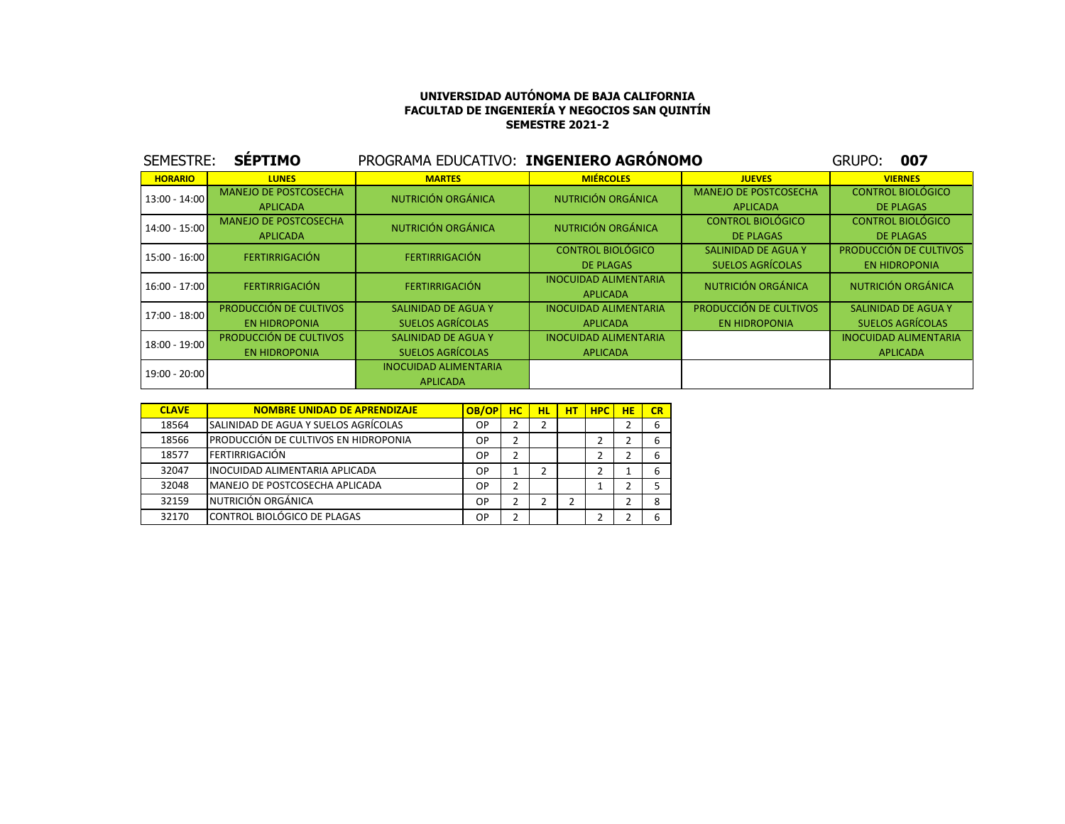| SEMESTRE:       | <b>SÉPTIMO</b>               | PROGRAMA EDUCATIVO: INGENIERO AGRONOMO |                              |                              | 007<br>GRUPO:                |
|-----------------|------------------------------|----------------------------------------|------------------------------|------------------------------|------------------------------|
| <b>HORARIO</b>  | <b>LUNES</b>                 | <b>MARTES</b>                          | <b>MIÉRCOLES</b>             | <b>JUEVES</b>                | <b>VIERNES</b>               |
| 13:00 - 14:00   | <b>MANEJO DE POSTCOSECHA</b> | NUTRICIÓN ORGÁNICA                     | NUTRICIÓN ORGÁNICA           | <b>MANEJO DE POSTCOSECHA</b> | <b>CONTROL BIOLÓGICO</b>     |
|                 | <b>APLICADA</b>              |                                        |                              | <b>APLICADA</b>              | <b>DE PLAGAS</b>             |
| 14:00 - 15:00   | <b>MANEJO DE POSTCOSECHA</b> | NUTRICIÓN ORGÁNICA                     | NUTRICIÓN ORGÁNICA           | <b>CONTROL BIOLÓGICO</b>     | <b>CONTROL BIOLÓGICO</b>     |
|                 | <b>APLICADA</b>              |                                        |                              | DE PLAGAS                    | <b>DE PLAGAS</b>             |
| $15:00 - 16:00$ | <b>FERTIRRIGACIÓN</b>        | <b>FERTIRRIGACIÓN</b>                  | <b>CONTROL BIOLÓGICO</b>     | SALINIDAD DE AGUA Y          | PRODUCCIÓN DE CULTIVOS       |
|                 |                              |                                        | <b>DE PLAGAS</b>             | SUELOS AGRÍCOLAS             | <b>EN HIDROPONIA</b>         |
| $16:00 - 17:00$ | <b>FERTIRRIGACIÓN</b>        | <b>FERTIRRIGACIÓN</b>                  | <b>INOCUIDAD ALIMENTARIA</b> | NUTRICIÓN ORGÁNICA           | NUTRICIÓN ORGÁNICA           |
|                 |                              |                                        | <b>APLICADA</b>              |                              |                              |
| 17:00 - 18:00   | PRODUCCIÓN DE CULTIVOS       | SALINIDAD DE AGUA Y                    | <b>INOCUIDAD ALIMENTARIA</b> | PRODUCCIÓN DE CULTIVOS       | SALINIDAD DE AGUA Y          |
|                 | <b>EN HIDROPONIA</b>         | <b>SUELOS AGRÍCOLAS</b>                | <b>APLICADA</b>              | <b>EN HIDROPONIA</b>         | <b>SUELOS AGRÍCOLAS</b>      |
| 18:00 - 19:00   | PRODUCCIÓN DE CULTIVOS       | SALINIDAD DE AGUA Y                    | <b>INOCUIDAD ALIMENTARIA</b> |                              | <b>INOCUIDAD ALIMENTARIA</b> |
|                 | <b>EN HIDROPONIA</b>         | <b>SUELOS AGRÍCOLAS</b>                | <b>APLICADA</b>              |                              | <b>APLICADA</b>              |
| 19:00 - 20:00   |                              | <b>INOCUIDAD ALIMENTARIA</b>           |                              |                              |                              |
|                 |                              | <b>APLICADA</b>                        |                              |                              |                              |

| <b>CLAVE</b> | <b>NOMBRE UNIDAD DE APRENDIZAJE</b>   | OB/OP     | нc | HL | нT | <b>HPC</b> | HE | CR |
|--------------|---------------------------------------|-----------|----|----|----|------------|----|----|
| 18564        | SALINIDAD DE AGUA Y SUELOS AGRÍCOLAS  | OP        |    |    |    |            |    |    |
| 18566        | IPRODUCCIÓN DE CULTIVOS EN HIDROPONIA | OP        |    |    |    |            |    |    |
| 18577        | <b>FERTIRRIGACIÓN</b>                 | <b>OP</b> |    |    |    |            |    |    |
| 32047        | IINOCUIDAD ALIMENTARIA APLICADA       | ОP        |    |    |    |            |    |    |
| 32048        | IMANEJO DE POSTCOSECHA APLICADA       | OP        | 2  |    |    |            |    |    |
| 32159        | NUTRICIÓN ORGÁNICA                    | ОP        |    |    |    |            |    |    |
| 32170        | CONTROL BIOLÓGICO DE PLAGAS           | ОP        |    |    |    |            |    |    |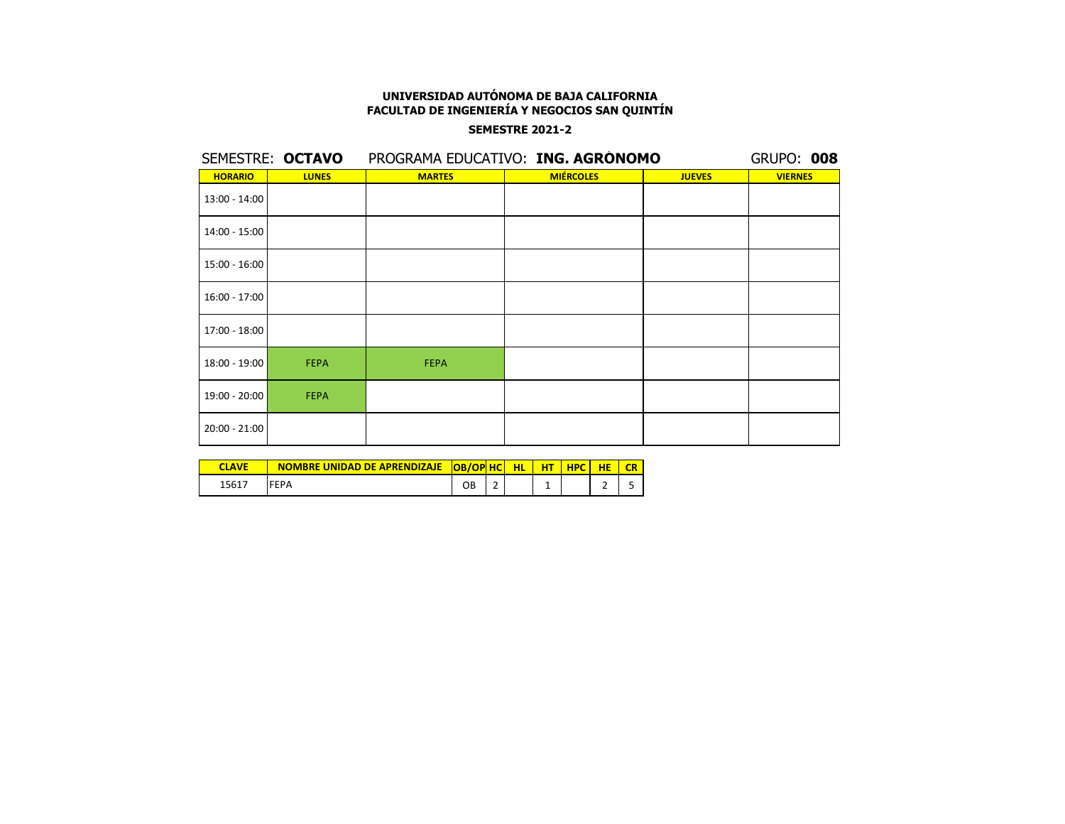## **SEMESTRE 2021-2**

|                 | SEMESTRE: OCTAVO |               | PROGRAMA EDUCATIVO: ING. AGRÓNOMO |               | <b>GRUPO: 008</b> |
|-----------------|------------------|---------------|-----------------------------------|---------------|-------------------|
| <b>HORARIO</b>  | <b>LUNES</b>     | <b>MARTES</b> | <b>MIÉRCOLES</b>                  | <b>JUEVES</b> | <b>VIERNES</b>    |
| 13:00 - 14:00   |                  |               |                                   |               |                   |
| 14:00 - 15:00   |                  |               |                                   |               |                   |
| 15:00 - 16:00   |                  |               |                                   |               |                   |
| 16:00 - 17:00   |                  |               |                                   |               |                   |
| 17:00 - 18:00   |                  |               |                                   |               |                   |
| $18:00 - 19:00$ | <b>FEPA</b>      | <b>FEPA</b>   |                                   |               |                   |
| 19:00 - 20:00   | <b>FEPA</b>      |               |                                   |               |                   |
| 20:00 - 21:00   |                  |               |                                   |               |                   |

|                | NOMBRE UNIDAD DE APRENDIZAJE | <b>OB/OP HC</b> | ЮL | <b>HPC</b> |  |
|----------------|------------------------------|-----------------|----|------------|--|
| $1561^{\circ}$ |                              | OВ              |    |            |  |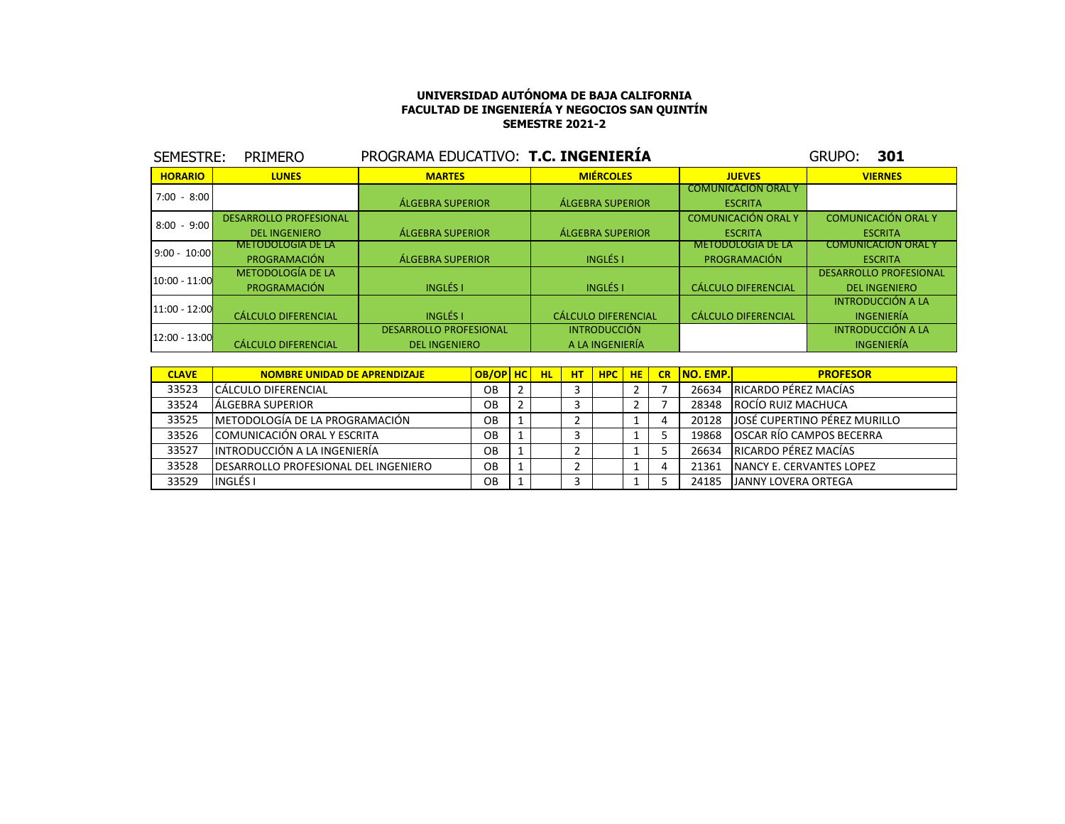| SEMESTRE:       | <b>PRIMERO</b>                | PROGRAMA EDUCATIVO: T.C. INGENIERIA |                            |                            | <b>GRUPO:</b><br>301          |
|-----------------|-------------------------------|-------------------------------------|----------------------------|----------------------------|-------------------------------|
| <b>HORARIO</b>  | <b>LUNES</b>                  | <b>MARTES</b>                       | <b>MIÉRCOLES</b>           | <b>JUEVES</b>              | <b>VIERNES</b>                |
| $7:00 - 8:00$   |                               |                                     |                            | <b>COMUNICACION ORAL Y</b> |                               |
|                 |                               | <b>ÁLGEBRA SUPERIOR</b>             | <b>ÁLGEBRA SUPERIOR</b>    | <b>ESCRITA</b>             |                               |
| $8:00 - 9:00$   | <b>DESARROLLO PROFESIONAL</b> |                                     |                            | <b>COMUNICACIÓN ORAL Y</b> | <b>COMUNICACIÓN ORAL Y</b>    |
|                 | <b>DEL INGENIERO</b>          | <b>ÁLGEBRA SUPERIOR</b>             | <b>ÁLGEBRA SUPERIOR</b>    | <b>ESCRITA</b>             | <b>ESCRITA</b>                |
| $9:00 - 10:00$  | <b>METODOLOGIA DE LA</b>      |                                     |                            | <b>METODOLOGIA DE LA</b>   | <b>COMUNICACION ORAL Y</b>    |
|                 | PROGRAMACIÓN                  | <b>ÁLGEBRA SUPERIOR</b>             | <b>INGLÉS I</b>            | PROGRAMACIÓN               | <b>ESCRITA</b>                |
| 10:00 - 11:00   | <b>METODOLOGÍA DE LA</b>      |                                     |                            |                            | <b>DESARROLLO PROFESIONAL</b> |
|                 | PROGRAMACIÓN                  | <b>INGLÉS I</b>                     | <b>INGLÉS I</b>            | <b>CÁLCULO DIFERENCIAL</b> | <b>DEL INGENIERO</b>          |
| $11:00 - 12:00$ |                               |                                     |                            |                            | <b>INTRODUCCIÓN A LA</b>      |
|                 | <b>CÁLCULO DIFERENCIAL</b>    | <b>INGLÉS I</b>                     | <b>CÁLCULO DIFERENCIAL</b> | <b>CÁLCULO DIFERENCIAL</b> | INGENIERÍA                    |
| $12:00 - 13:00$ |                               | <b>DESARROLLO PROFESIONAL</b>       | <b>INTRODUCCIÓN</b>        |                            | <b>INTRODUCCIÓN A LA</b>      |
|                 | <b>CÁLCULO DIFERENCIAL</b>    | <b>DEL INGENIERO</b>                | A LA INGENIERÍA            |                            | <b>INGENIERÍA</b>             |

| <b>CLAVE</b> | <b>NOMBRE UNIDAD DE APRENDIZAJE</b>          | OB/OP HC | <b>HL</b> | <b>HT</b> | <b>HPC</b> HE | <b>CR</b> | <b>INO. EMP.</b> | <b>PROFESOR</b>                  |
|--------------|----------------------------------------------|----------|-----------|-----------|---------------|-----------|------------------|----------------------------------|
| 33523        | ICÁLCULO DIFERENCIAL                         | OВ       |           |           |               |           | 26634            | IRICARDO PÉREZ MACÍAS            |
| 33524        | LÁLGEBRA SUPERIOR                            | OB       |           |           |               |           | 28348            | ROCÍO RUIZ MACHUCA               |
| 33525        | IMETODOLOGÍA DE LA PROGRAMACIÓN              | OB       |           |           |               |           | 20128            | JOSÉ CUPERTINO PÉREZ MURILLO     |
| 33526        | COMUNICACIÓN ORAL Y ESCRITA                  | OΒ       |           |           |               |           | 19868            | OSCAR RÍO CAMPOS BECERRA         |
| 33527        | INTRODUCCIÓN A LA INGENIERÍA                 | OB       |           |           |               |           | 26634            | <b>IRICARDO PÉREZ MACÍAS</b>     |
| 33528        | <b>IDESARROLLO PROFESIONAL DEL INGENIERO</b> | OB       |           |           |               |           | 21361            | <b>INANCY E. CERVANTES LOPEZ</b> |
| 33529        | <b>INGLÉS</b> I                              | OВ       |           |           |               |           | 24185            | <b>JANNY LOVERA ORTEGA</b>       |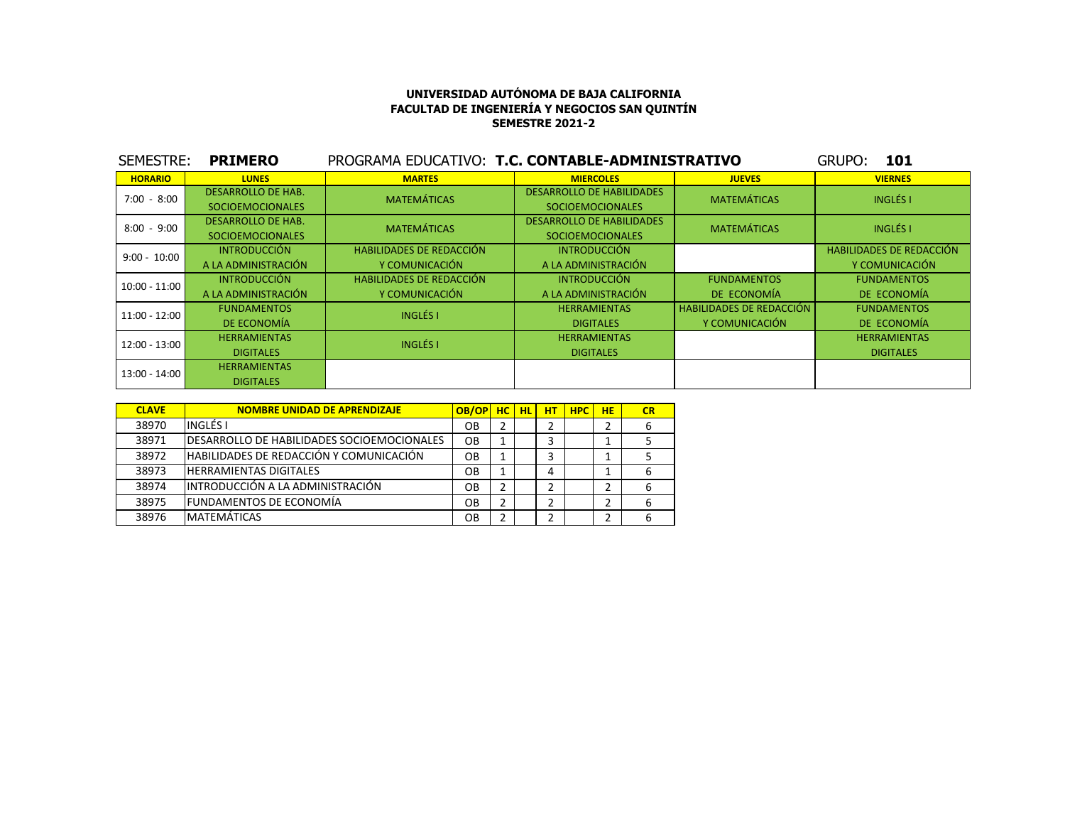| SEMESTRE:       | <b>PRIMERO</b>            | PROGRAMA EDUCATIVO: T.C. CONTABLE-ADMINISTRATIVO |                                  |                                 | GRUPO:<br>101                   |
|-----------------|---------------------------|--------------------------------------------------|----------------------------------|---------------------------------|---------------------------------|
| <b>HORARIO</b>  | <b>LUNES</b>              | <b>MARTES</b>                                    | <b>MIERCOLES</b>                 | <b>JUEVES</b>                   | <b>VIERNES</b>                  |
| $7:00 - 8:00$   | <b>DESARROLLO DE HAB.</b> | <b>MATEMÁTICAS</b>                               | <b>DESARROLLO DE HABILIDADES</b> | <b>MATEMÁTICAS</b>              | <b>INGLÉS I</b>                 |
|                 | <b>SOCIOEMOCIONALES</b>   |                                                  | <b>SOCIOEMOCIONALES</b>          |                                 |                                 |
| $8:00 - 9:00$   | <b>DESARROLLO DE HAB.</b> | <b>MATEMÁTICAS</b>                               | <b>DESARROLLO DE HABILIDADES</b> | <b>MATEMÁTICAS</b>              | <b>INGLÉS I</b>                 |
|                 | <b>SOCIOEMOCIONALES</b>   |                                                  | <b>SOCIOEMOCIONALES</b>          |                                 |                                 |
| $9:00 - 10:00$  | <b>INTRODUCCIÓN</b>       | <b>HABILIDADES DE REDACCIÓN</b>                  | <b>INTRODUCCIÓN</b>              |                                 | <b>HABILIDADES DE REDACCIÓN</b> |
|                 | A LA ADMINISTRACIÓN       | Y COMUNICACIÓN                                   | A LA ADMINISTRACIÓN              |                                 | Y COMUNICACIÓN                  |
| $10:00 - 11:00$ | <b>INTRODUCCIÓN</b>       | <b>HABILIDADES DE REDACCIÓN</b>                  | <b>INTRODUCCIÓN</b>              | <b>FUNDAMENTOS</b>              | <b>FUNDAMENTOS</b>              |
|                 | A LA ADMINISTRACIÓN       | Y COMUNICACIÓN                                   | A LA ADMINISTRACIÓN              | DE ECONOMÍA                     | DE ECONOMÍA                     |
| 11:00 - 12:00   | <b>FUNDAMENTOS</b>        | <b>INGLÉS I</b>                                  | <b>HERRAMIENTAS</b>              | <b>HABILIDADES DE REDACCIÓN</b> | <b>FUNDAMENTOS</b>              |
|                 | DE ECONOMÍA               |                                                  | <b>DIGITALES</b>                 | Y COMUNICACIÓN                  | DE ECONOMÍA                     |
| 12:00 - 13:00   | <b>HERRAMIENTAS</b>       | <b>INGLÉS I</b>                                  | <b>HERRAMIENTAS</b>              |                                 | <b>HERRAMIENTAS</b>             |
|                 | <b>DIGITALES</b>          |                                                  | <b>DIGITALES</b>                 |                                 | <b>DIGITALES</b>                |
| $13:00 - 14:00$ | <b>HERRAMIENTAS</b>       |                                                  |                                  |                                 |                                 |
|                 | <b>DIGITALES</b>          |                                                  |                                  |                                 |                                 |

| <b>CLAVE</b> | <b>NOMBRE UNIDAD DE APRENDIZAJE</b>                | OB/OP     | HC | HL. | HT | <b>HPC</b> | <b>HE</b> | CR |
|--------------|----------------------------------------------------|-----------|----|-----|----|------------|-----------|----|
| 38970        | INGLÉS I                                           | OВ        | 2  |     | ∍  |            |           | 6  |
| 38971        | <b>IDESARROLLO DE HABILIDADES SOCIOEMOCIONALES</b> | OB        |    |     | 3  |            |           |    |
| 38972        | HABILIDADES DE REDACCIÓN Y COMUNICACIÓN            | OB        |    |     |    |            |           |    |
| 38973        | <b>HERRAMIENTAS DIGITALES</b>                      | <b>OB</b> |    |     | 4  |            |           | 6  |
| 38974        | IINTRODUCCIÓN A LA ADMINISTRACIÓN                  | OB        | 2  |     |    |            |           | 6  |
| 38975        | <b>FUNDAMENTOS DE ECONOMÍA</b>                     | OΒ        | 2  |     | ∍  |            |           | 6  |
| 38976        | <b>IMATEMATICAS</b>                                | OB        | 2  |     | ำ  |            |           | b  |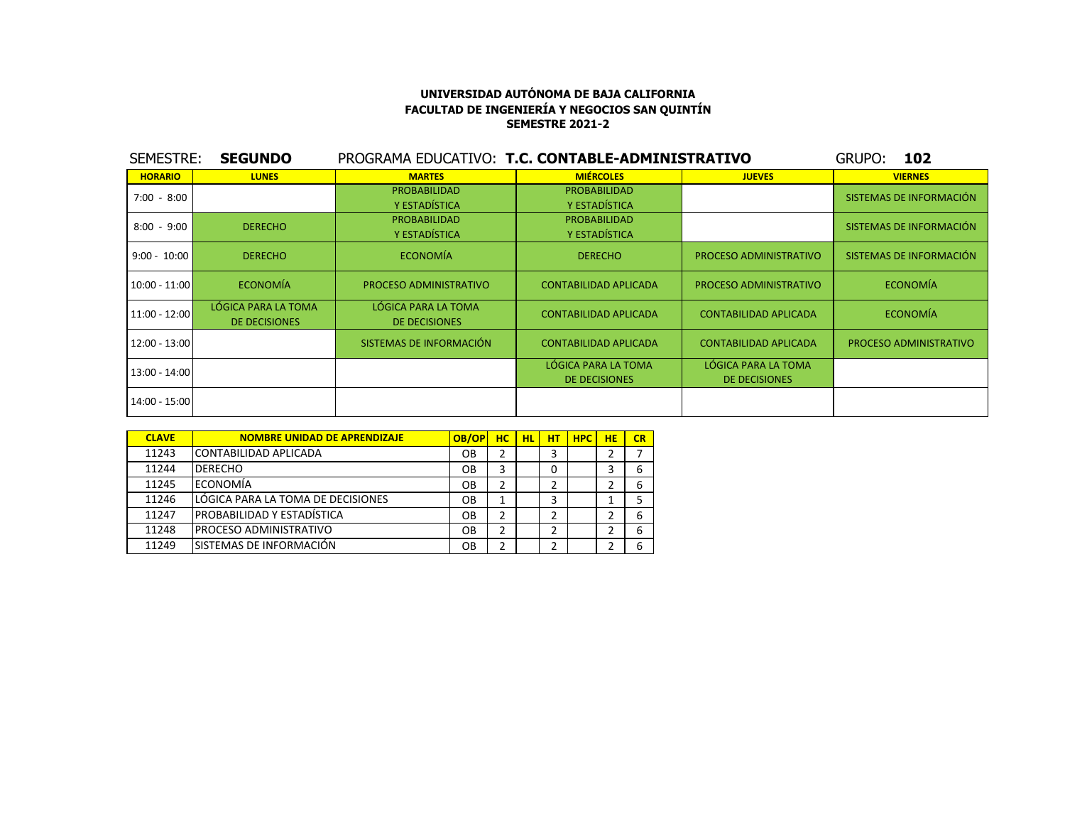| SEMESTRE:       | <b>SEGUNDO</b>                              |                                             | PROGRAMA EDUCATIVO: T.C. CONTABLE-ADMINISTRATIVO |                              | 102<br>GRUPO:           |
|-----------------|---------------------------------------------|---------------------------------------------|--------------------------------------------------|------------------------------|-------------------------|
| <b>HORARIO</b>  | <b>LUNES</b>                                | <b>MARTES</b>                               | <b>MIÉRCOLES</b>                                 | <b>JUEVES</b>                | <b>VIERNES</b>          |
| $7:00 - 8:00$   |                                             | <b>PROBABILIDAD</b>                         | <b>PROBABILIDAD</b>                              |                              | SISTEMAS DE INFORMACIÓN |
|                 |                                             | Y ESTADÍSTICA                               | Y ESTADÍSTICA                                    |                              |                         |
| $8:00 - 9:00$   | <b>DERECHO</b>                              | <b>PROBABILIDAD</b>                         | <b>PROBABILIDAD</b>                              |                              | SISTEMAS DE INFORMACIÓN |
|                 |                                             | Y ESTADÍSTICA                               | Y ESTADÍSTICA                                    |                              |                         |
| $9:00 - 10:00$  | <b>DERECHO</b>                              | <b>ECONOMÍA</b>                             | <b>DERECHO</b>                                   | PROCESO ADMINISTRATIVO       | SISTEMAS DE INFORMACIÓN |
| $10:00 - 11:00$ | <b>ECONOMÍA</b>                             | PROCESO ADMINISTRATIVO                      | <b>CONTABILIDAD APLICADA</b>                     | PROCESO ADMINISTRATIVO       | <b>ECONOMÍA</b>         |
| $11:00 - 12:00$ | LÓGICA PARA LA TOMA<br><b>DE DECISIONES</b> | LÓGICA PARA LA TOMA<br><b>DE DECISIONES</b> | <b>CONTABILIDAD APLICADA</b>                     | <b>CONTABILIDAD APLICADA</b> | <b>ECONOMÍA</b>         |
| 12:00 - 13:00   |                                             | SISTEMAS DE INFORMACIÓN                     | <b>CONTABILIDAD APLICADA</b>                     | CONTABILIDAD APLICADA        | PROCESO ADMINISTRATIVO  |
| 13:00 - 14:00   |                                             |                                             | LÓGICA PARA LA TOMA                              | LÓGICA PARA LA TOMA          |                         |
|                 |                                             |                                             | <b>DE DECISIONES</b>                             | DE DECISIONES                |                         |
| 14:00 - 15:00   |                                             |                                             |                                                  |                              |                         |

| <b>CLAVE</b> | <b>NOMBRE UNIDAD DE APRENDIZAJE</b> | OB/OP     | HC. | <b>HL</b> | HT | <b>HPC</b> | HE | CR |
|--------------|-------------------------------------|-----------|-----|-----------|----|------------|----|----|
| 11243        | CONTABILIDAD APLICADA               | <b>OB</b> |     |           | 3  |            |    |    |
| 11244        | <b>IDERECHO</b>                     | OΒ        | 3   |           | 0  |            |    | 6  |
| 11245        | leconomía                           | OΒ        |     |           |    |            |    | 6  |
| 11246        | LLÓGICA PARA LA TOMA DE DECISIONES  | OB        |     |           | 3  |            |    |    |
| 11247        | PROBABILIDAD Y ESTADÍSTICA          | OΒ        |     |           |    |            |    | 6  |
| 11248        | IPROCESO ADMINISTRATIVO             | OΒ        |     |           | 2  |            |    | 6  |
| 11249        | ISISTEMAS DE INFORMACIÓN            | OΒ        |     |           |    |            |    | 6  |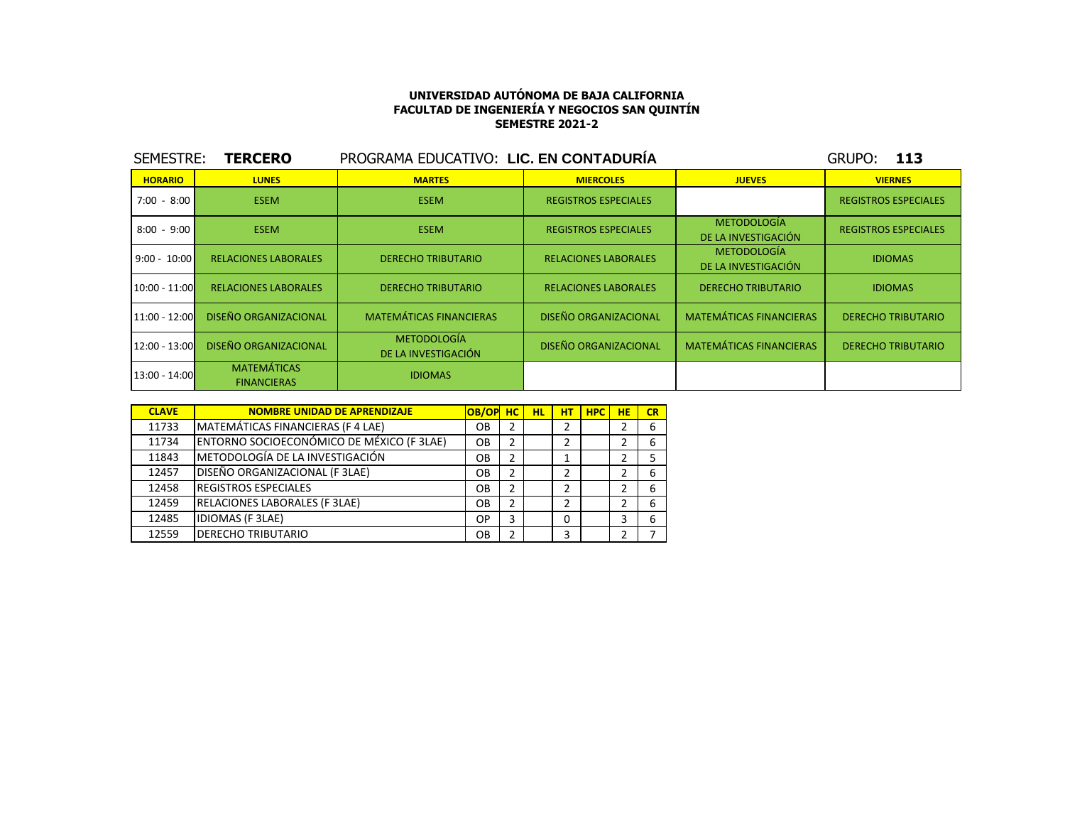| SEMESTRE:       | <b>TERCERO</b>                           | PROGRAMA EDUCATIVO: LIC. EN CONTADURÍA    |                              |                                           | 113<br>GRUPO:               |
|-----------------|------------------------------------------|-------------------------------------------|------------------------------|-------------------------------------------|-----------------------------|
| <b>HORARIO</b>  | <b>LUNES</b>                             | <b>MARTES</b>                             | <b>MIERCOLES</b>             | <b>JUEVES</b>                             | <b>VIERNES</b>              |
| 7:00 - 8:00     | <b>ESEM</b>                              | <b>ESEM</b>                               | <b>REGISTROS ESPECIALES</b>  |                                           | <b>REGISTROS ESPECIALES</b> |
| $8:00 - 9:00$   | <b>ESEM</b>                              | <b>ESEM</b>                               | <b>REGISTROS ESPECIALES</b>  | <b>METODOLOGÍA</b><br>DE LA INVESTIGACIÓN | <b>REGISTROS ESPECIALES</b> |
| $9:00 - 10:00$  | <b>RELACIONES LABORALES</b>              | <b>DERECHO TRIBUTARIO</b>                 | <b>RELACIONES LABORALES</b>  | <b>METODOLOGÍA</b><br>DE LA INVESTIGACIÓN | <b>IDIOMAS</b>              |
| $10:00 - 11:00$ | <b>RELACIONES LABORALES</b>              | <b>DERECHO TRIBUTARIO</b>                 | <b>RELACIONES LABORALES</b>  | <b>DERECHO TRIBUTARIO</b>                 | <b>IDIOMAS</b>              |
| $11:00 - 12:00$ | <b>DISEÑO ORGANIZACIONAL</b>             | <b>MATEMÁTICAS FINANCIERAS</b>            | <b>DISEÑO ORGANIZACIONAL</b> | <b>MATEMÁTICAS FINANCIERAS</b>            | <b>DERECHO TRIBUTARIO</b>   |
| $12:00 - 13:00$ | <b>DISEÑO ORGANIZACIONAL</b>             | <b>METODOLOGÍA</b><br>DE LA INVESTIGACIÓN | <b>DISEÑO ORGANIZACIONAL</b> | <b>MATEMÁTICAS FINANCIERAS</b>            | <b>DERECHO TRIBUTARIO</b>   |
| $13:00 - 14:00$ | <b>MATEMÁTICAS</b><br><b>FINANCIERAS</b> | <b>IDIOMAS</b>                            |                              |                                           |                             |

| <b>CLAVE</b> | <b>NOMBRE UNIDAD DE APRENDIZAJE</b>       | OB/OP | <b>HC</b> | <b>HL</b> | HТ | <b>HPC</b> | HЕ | CR |
|--------------|-------------------------------------------|-------|-----------|-----------|----|------------|----|----|
| 11733        | MATEMÁTICAS FINANCIERAS (F 4 LAE)         | OВ    | 2         |           |    |            |    |    |
| 11734        | ENTORNO SOCIOECONÓMICO DE MÉXICO (F 3LAE) | OΒ    | 2         |           |    |            |    |    |
| 11843        | METODOLOGÍA DE LA INVESTIGACIÓN           | OΒ    | 2         |           |    |            |    |    |
| 12457        | DISEÑO ORGANIZACIONAL (F 3LAE)            | OВ    |           |           |    |            |    |    |
| 12458        | <b>REGISTROS ESPECIALES</b>               | OΒ    | 2         |           |    |            |    |    |
| 12459        | <b>RELACIONES LABORALES (F 3LAE)</b>      | OВ    |           |           |    |            |    |    |
| 12485        | <b>IDIOMAS (F 3LAE)</b>                   | ОP    |           |           |    |            |    |    |
| 12559        | <b>DERECHO TRIBUTARIO</b>                 | OВ    |           |           | ς  |            |    |    |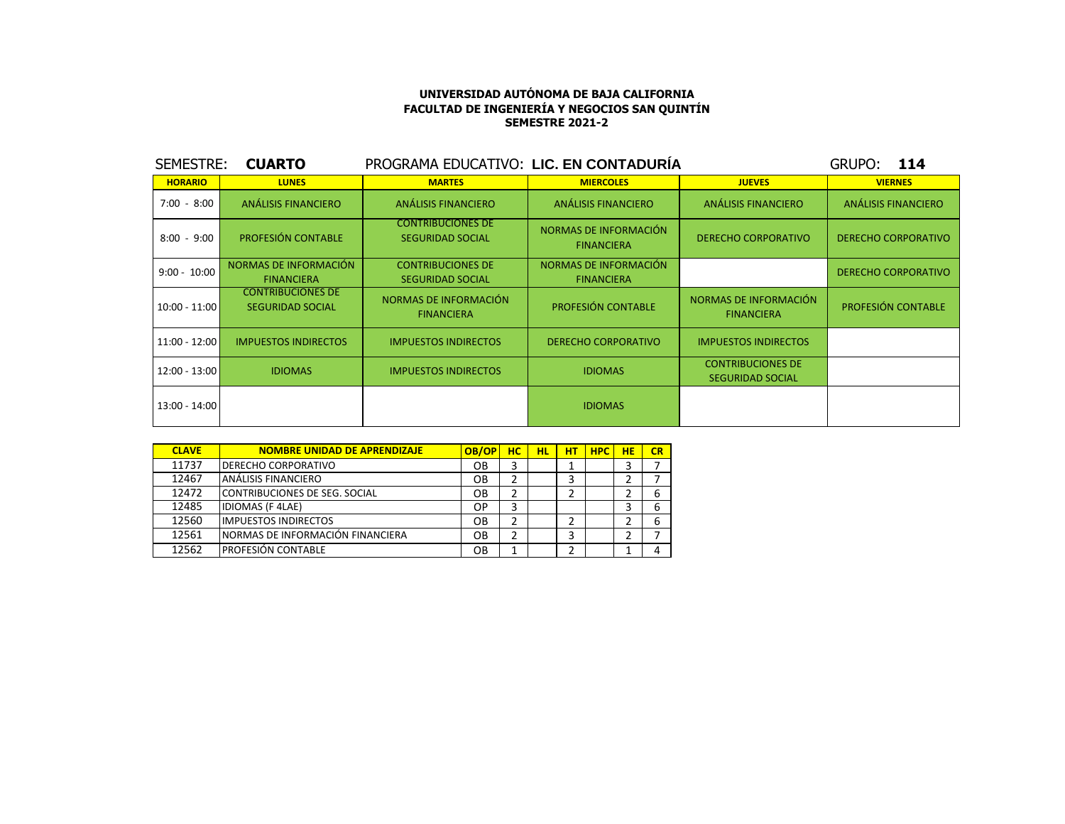| SEMESTRE:      | <b>CUARTO</b>                                       | PROGRAMA EDUCATIVO: LIC. EN CONTADURÍA              |                                            |                                                     | 114<br>GRUPO:              |
|----------------|-----------------------------------------------------|-----------------------------------------------------|--------------------------------------------|-----------------------------------------------------|----------------------------|
| <b>HORARIO</b> | <b>LUNES</b>                                        | <b>MARTES</b>                                       | <b>MIERCOLES</b>                           | <b>JUEVES</b>                                       | <b>VIERNES</b>             |
| $7:00 - 8:00$  | ANÁLISIS FINANCIERO                                 | ANÁLISIS FINANCIERO                                 | <b>ANÁLISIS FINANCIERO</b>                 | ANÁLISIS FINANCIERO                                 | <b>ANÁLISIS FINANCIERO</b> |
| $8:00 - 9:00$  | <b>PROFESIÓN CONTABLE</b>                           | <b>CONTRIBUCIONES DE</b><br><b>SEGURIDAD SOCIAL</b> | NORMAS DE INFORMACIÓN<br><b>FINANCIERA</b> | <b>DERECHO CORPORATIVO</b>                          | <b>DERECHO CORPORATIVO</b> |
| $9:00 - 10:00$ | NORMAS DE INFORMACIÓN<br><b>FINANCIERA</b>          | <b>CONTRIBUCIONES DE</b><br><b>SEGURIDAD SOCIAL</b> | NORMAS DE INFORMACIÓN<br><b>FINANCIERA</b> |                                                     | <b>DERECHO CORPORATIVO</b> |
| 10:00 - 11:00  | <b>CONTRIBUCIONES DE</b><br><b>SEGURIDAD SOCIAL</b> | NORMAS DE INFORMACIÓN<br><b>FINANCIERA</b>          | <b>PROFESIÓN CONTABLE</b>                  | NORMAS DE INFORMACIÓN<br><b>FINANCIERA</b>          | PROFESIÓN CONTABLE         |
| 11:00 - 12:00  | <b>IMPUESTOS INDIRECTOS</b>                         | <b>IMPUESTOS INDIRECTOS</b>                         | <b>DERECHO CORPORATIVO</b>                 | <b>IMPUESTOS INDIRECTOS</b>                         |                            |
| 12:00 - 13:00  | <b>IDIOMAS</b>                                      | <b>IMPUESTOS INDIRECTOS</b>                         | <b>IDIOMAS</b>                             | <b>CONTRIBUCIONES DE</b><br><b>SEGURIDAD SOCIAL</b> |                            |
| 13:00 - 14:00  |                                                     |                                                     | <b>IDIOMAS</b>                             |                                                     |                            |

| <b>CLAVE</b> | <b>NOMBRE UNIDAD DE APRENDIZAJE</b> | OB/OP | нc | HL | нт | <b>HPC</b> | HE | CR |
|--------------|-------------------------------------|-------|----|----|----|------------|----|----|
| 11737        | <b>DERECHO CORPORATIVO</b>          | OВ    | 3  |    |    |            |    |    |
| 12467        | ANÁLISIS FINANCIERO                 | OВ    | 2  |    |    |            |    |    |
| 12472        | CONTRIBUCIONES DE SEG. SOCIAL       | OВ    | 2  |    |    |            |    |    |
| 12485        | <b>IDIOMAS (F 4LAE)</b>             | ОP    | 3  |    |    |            |    |    |
| 12560        | <b>IMPUESTOS INDIRECTOS</b>         | OВ    | 2  |    |    |            |    |    |
| 12561        | INORMAS DE INFORMACIÓN FINANCIERA   | OВ    | 2  |    |    |            |    |    |
| 12562        | <b>PROFESIÓN CONTABLE</b>           | OВ    | 1  |    |    |            |    |    |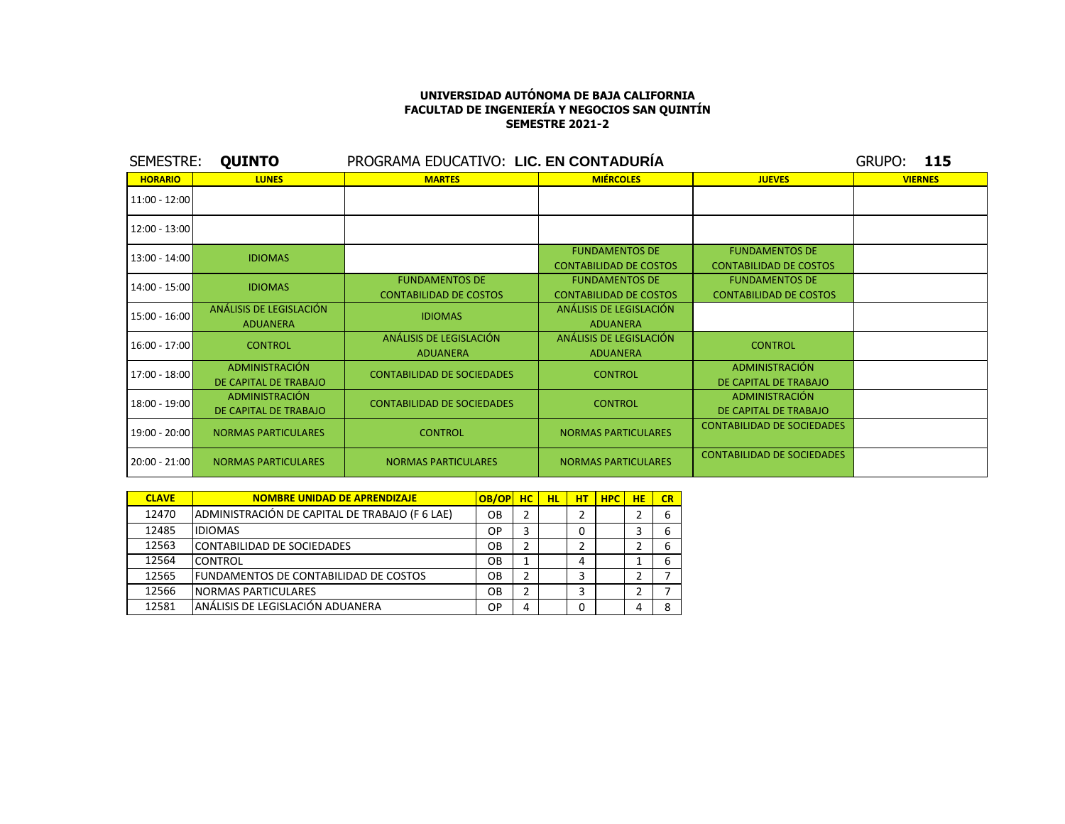| SEMESTRE:       | <b>QUINTO</b>                                  |                                                        | <b>GRUPO: 115</b>                                      |                                                        |                |
|-----------------|------------------------------------------------|--------------------------------------------------------|--------------------------------------------------------|--------------------------------------------------------|----------------|
| <b>HORARIO</b>  | <b>LUNES</b>                                   | <b>MARTES</b>                                          | <b>MIÉRCOLES</b>                                       | <b>JUEVES</b>                                          | <b>VIERNES</b> |
| 11:00 - 12:00   |                                                |                                                        |                                                        |                                                        |                |
| 12:00 - 13:00   |                                                |                                                        |                                                        |                                                        |                |
| 13:00 - 14:00   | <b>IDIOMAS</b>                                 |                                                        | <b>FUNDAMENTOS DE</b><br><b>CONTABILIDAD DE COSTOS</b> | <b>FUNDAMENTOS DE</b><br><b>CONTABILIDAD DE COSTOS</b> |                |
| $14:00 - 15:00$ | <b>IDIOMAS</b>                                 | <b>FUNDAMENTOS DE</b><br><b>CONTABILIDAD DE COSTOS</b> | <b>FUNDAMENTOS DE</b><br><b>CONTABILIDAD DE COSTOS</b> | <b>FUNDAMENTOS DE</b><br><b>CONTABILIDAD DE COSTOS</b> |                |
| $15:00 - 16:00$ | ANÁLISIS DE LEGISLACIÓN<br><b>ADUANERA</b>     | <b>IDIOMAS</b>                                         | ANÁLISIS DE LEGISLACIÓN<br><b>ADUANERA</b>             |                                                        |                |
| $16:00 - 17:00$ | <b>CONTROL</b>                                 | ANÁLISIS DE LEGISLACIÓN<br><b>ADUANERA</b>             | ANÁLISIS DE LEGISLACIÓN<br><b>ADUANERA</b>             | <b>CONTROL</b>                                         |                |
| $17:00 - 18:00$ | <b>ADMINISTRACIÓN</b><br>DE CAPITAL DE TRABAJO | <b>CONTABILIDAD DE SOCIEDADES</b>                      | <b>CONTROL</b>                                         | ADMINISTRACIÓN<br>DE CAPITAL DE TRABAJO                |                |
| 18:00 - 19:00   | ADMINISTRACIÓN<br>DE CAPITAL DE TRABAJO        | <b>CONTABILIDAD DE SOCIEDADES</b>                      | <b>CONTROL</b>                                         | ADMINISTRACIÓN<br>DE CAPITAL DE TRABAJO                |                |
| $19:00 - 20:00$ | <b>NORMAS PARTICULARES</b>                     | <b>CONTROL</b>                                         | <b>NORMAS PARTICULARES</b>                             | <b>CONTABILIDAD DE SOCIEDADES</b>                      |                |
| $20:00 - 21:00$ | <b>NORMAS PARTICULARES</b>                     | <b>NORMAS PARTICULARES</b>                             | <b>NORMAS PARTICULARES</b>                             | <b>CONTABILIDAD DE SOCIEDADES</b>                      |                |

| <b>CLAVE</b> | NOMBRE UNIDAD DE APRENDIZAJE                   | OB/OP     | <b>HC</b> | <b>HL</b> | нт | <b>HPC</b> | <b>HE</b> | CR |
|--------------|------------------------------------------------|-----------|-----------|-----------|----|------------|-----------|----|
| 12470        | ADMINISTRACIÓN DE CAPITAL DE TRABAJO (F 6 LAE) | OB        | 2         |           |    |            |           | 6  |
| 12485        | <b>IDIOMAS</b>                                 | OP        | 3         |           | 0  |            |           |    |
| 12563        | CONTABILIDAD DE SOCIEDADES                     | OΒ        | 2         |           |    |            |           |    |
| 12564        | <b>CONTROL</b>                                 | <b>OB</b> | 1         |           | 4  |            |           | b  |
| 12565        | IFUNDAMENTOS DE CONTABILIDAD DE COSTOS         | OB        | 2         |           | 3  |            |           |    |
| 12566        | <b>NORMAS PARTICULARES</b>                     | OB        | 2         |           | 3  |            |           |    |
| 12581        | lanálisis de legislación aduanera              | <b>OP</b> | 4         |           | 0  |            |           |    |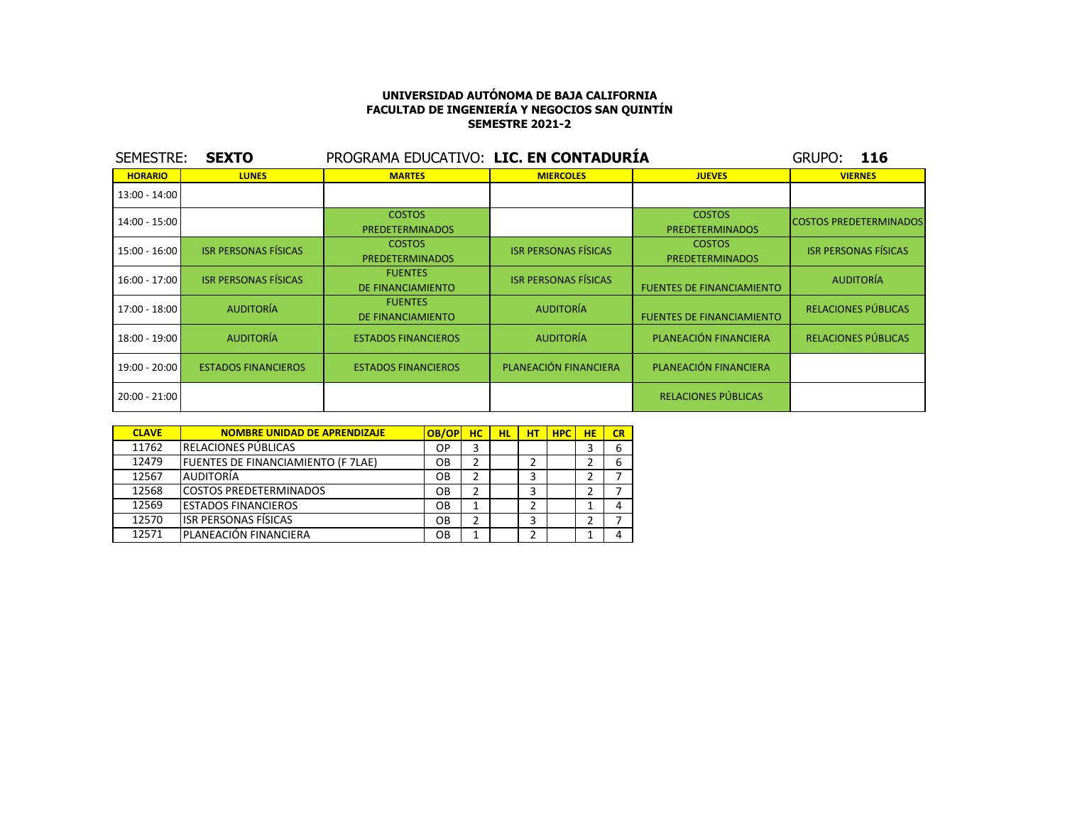| SEMESTRE:       | <b>SEXTO</b>                | PROGRAMA EDUCATIVO: LIC. EN CONTADURÍA  |                             |                                         | GRUPO:<br>116                 |
|-----------------|-----------------------------|-----------------------------------------|-----------------------------|-----------------------------------------|-------------------------------|
| <b>HORARIO</b>  | <b>LUNES</b>                | <b>MARTES</b>                           | <b>MIERCOLES</b>            | <b>JUEVES</b>                           | <b>VIERNES</b>                |
| $13:00 - 14:00$ |                             |                                         |                             |                                         |                               |
| $14:00 - 15:00$ |                             | <b>COSTOS</b><br><b>PREDETERMINADOS</b> |                             | <b>COSTOS</b><br><b>PREDETERMINADOS</b> | <b>COSTOS PREDETERMINADOS</b> |
| 15:00 - 16:00   | <b>ISR PERSONAS FÍSICAS</b> | <b>COSTOS</b><br><b>PREDETERMINADOS</b> | <b>ISR PERSONAS FÍSICAS</b> | <b>COSTOS</b><br><b>PREDETERMINADOS</b> | <b>ISR PERSONAS FÍSICAS</b>   |
| 16:00 - 17:00   | <b>ISR PERSONAS FÍSICAS</b> | <b>FUENTES</b><br>DE FINANCIAMIENTO     | <b>ISR PERSONAS FÍSICAS</b> | <b>FUENTES DE FINANCIAMIENTO</b>        | <b>AUDITORÍA</b>              |
| 17:00 - 18:00   | <b>AUDITORÍA</b>            | <b>FUENTES</b><br>DE FINANCIAMIENTO     | <b>AUDITORÍA</b>            | <b>FUENTES DE FINANCIAMIENTO</b>        | RELACIONES PÚBLICAS           |
| $18:00 - 19:00$ | <b>AUDITORÍA</b>            | <b>ESTADOS FINANCIEROS</b>              | <b>AUDITORÍA</b>            | PLANEACIÓN FINANCIERA                   | RELACIONES PÚBLICAS           |
| 19:00 - 20:00   | <b>ESTADOS FINANCIEROS</b>  | <b>ESTADOS FINANCIEROS</b>              | PLANEACIÓN FINANCIERA       | PLANEACIÓN FINANCIERA                   |                               |
| 20:00 - 21:00   |                             |                                         |                             | RELACIONES PÚBLICAS                     |                               |

| <b>CLAVE</b> | <b>NOMBRE UNIDAD DE APRENDIZAJE</b>        | OB/OP | <b>HC</b> | <b>HL</b> | HТ | <b>HPC</b> | <b>HE</b> | CR |
|--------------|--------------------------------------------|-------|-----------|-----------|----|------------|-----------|----|
| 11762        | <b>IRELACIONES PÚBLICAS</b>                | ОP    | 3         |           |    |            |           | 6  |
| 12479        | <b>IFUENTES DE FINANCIAMIENTO (F 7LAE)</b> | OВ    | 2         |           |    |            |           | 6  |
| 12567        | <b>AUDITORÍA</b>                           | OВ    | 2         |           | っ  |            |           |    |
| 12568        | ICOSTOS PREDETERMINADOS                    | OВ    | 2         |           | 3  |            |           |    |
| 12569        | <b>LESTADOS FINANCIEROS</b>                | OΒ    |           |           | 2  |            |           | 4  |
| 12570        | <b>ISR PERSONAS FÍSICAS</b>                | OВ    | 2         |           | 3  |            | ำ         |    |
| 12571        | IPLANEACIÓN FINANCIERA                     | OВ    |           |           | ว  |            |           | 4  |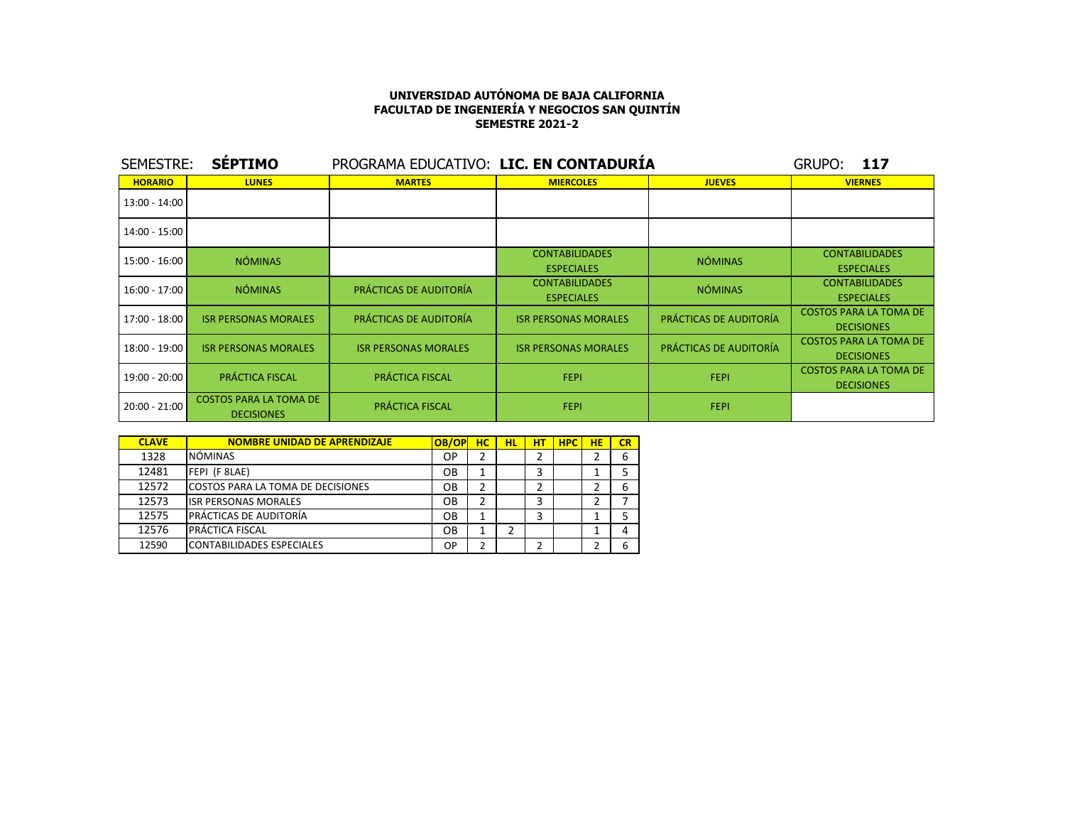| SEMESTRE:       | <b>SEPTIMO</b>                                     | PROGRAMA EDUCATIVO: LIC. EN CONTADURÍA |                                            |                        | GRUPO:<br>117                                      |
|-----------------|----------------------------------------------------|----------------------------------------|--------------------------------------------|------------------------|----------------------------------------------------|
| <b>HORARIO</b>  | <b>LUNES</b>                                       | <b>MARTES</b>                          | <b>MIERCOLES</b>                           | <b>JUEVES</b>          | <b>VIERNES</b>                                     |
| $13:00 - 14:00$ |                                                    |                                        |                                            |                        |                                                    |
| 14:00 - 15:00   |                                                    |                                        |                                            |                        |                                                    |
| 15:00 - 16:00   | <b>NÓMINAS</b>                                     |                                        | <b>CONTABILIDADES</b><br><b>ESPECIALES</b> | <b>NÓMINAS</b>         | <b>CONTABILIDADES</b><br><b>ESPECIALES</b>         |
| $16:00 - 17:00$ | <b>NÓMINAS</b>                                     | PRÁCTICAS DE AUDITORÍA                 | <b>CONTABILIDADES</b><br><b>ESPECIALES</b> | <b>NÓMINAS</b>         | <b>CONTABILIDADES</b><br><b>ESPECIALES</b>         |
| 17:00 - 18:00   | <b>ISR PERSONAS MORALES</b>                        | PRÁCTICAS DE AUDITORÍA                 | <b>ISR PERSONAS MORALES</b>                | PRÁCTICAS DE AUDITORÍA | <b>COSTOS PARA LA TOMA DE</b><br><b>DECISIONES</b> |
| 18:00 - 19:00   | <b>ISR PERSONAS MORALES</b>                        | <b>ISR PERSONAS MORALES</b>            | <b>ISR PERSONAS MORALES</b>                | PRÁCTICAS DE AUDITORÍA | <b>COSTOS PARA LA TOMA DE</b><br><b>DECISIONES</b> |
| 19:00 - 20:00   | PRÁCTICA FISCAL                                    | PRÁCTICA FISCAL                        | FEPI.                                      | <b>FEPI</b>            | <b>COSTOS PARA LA TOMA DE</b><br><b>DECISIONES</b> |
| $20:00 - 21:00$ | <b>COSTOS PARA LA TOMA DE</b><br><b>DECISIONES</b> | PRÁCTICA FISCAL                        | <b>FEPI</b>                                | <b>FEPI</b>            |                                                    |

| <b>CLAVE</b> | <b>NOMBRE UNIDAD DE APRENDIZAJE</b> | <b>OB/OP</b> | <b>HC</b> | HL | нт | <b>HPC</b> | <b>HE</b> | CR |
|--------------|-------------------------------------|--------------|-----------|----|----|------------|-----------|----|
| 1328         | <b>NÓMINAS</b>                      | ОP           |           |    |    |            |           | 6  |
| 12481        | FEPI (F 8LAE)                       | OВ           | 1         |    |    |            |           |    |
| 12572        | ICOSTOS PARA LA TOMA DE DECISIONES  | OВ           | 2         |    |    |            |           | ь  |
| 12573        | <b>ISR PERSONAS MORALES</b>         | OВ           | 2         |    | 3  |            |           |    |
| 12575        | PRÁCTICAS DE AUDITORÍA              | OВ           | 1         |    | 3  |            |           |    |
| 12576        | I PRÁCTICA FISCAL                   | OΒ           | 1         |    |    |            |           |    |
| 12590        | CONTABILIDADES ESPECIALES           | OP           | 2         |    |    |            |           | h  |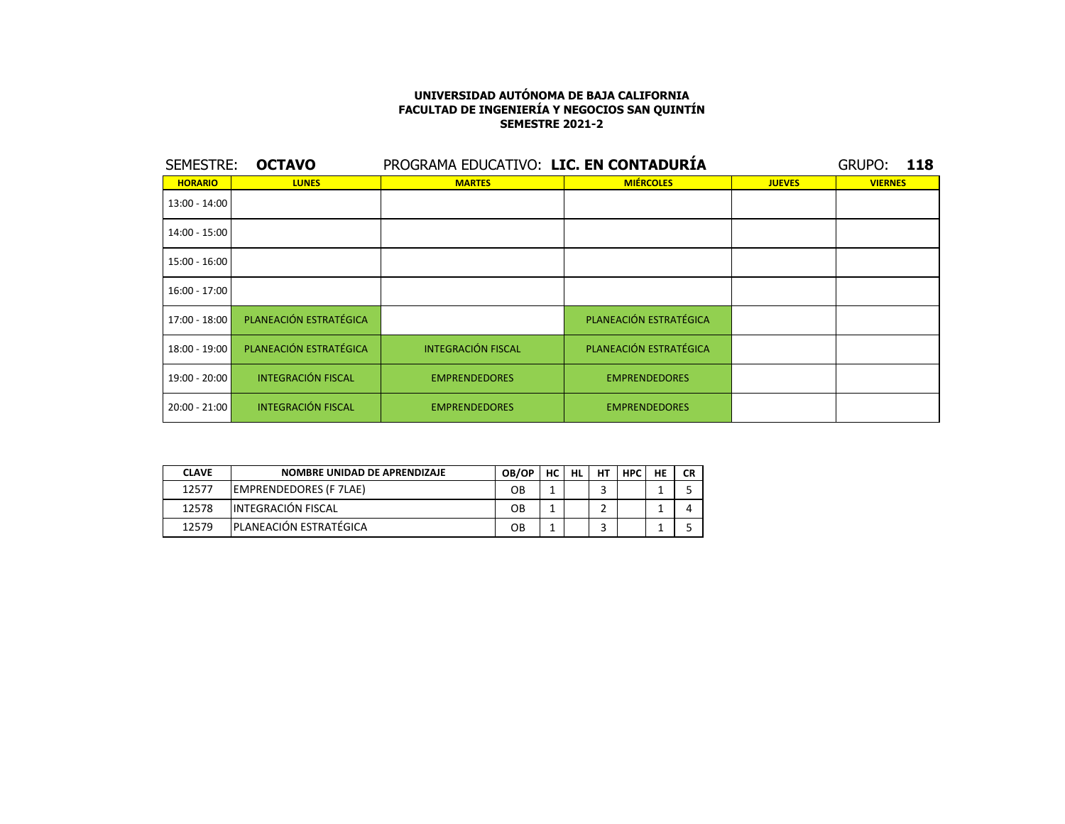| SEMESTRE:      | <b>OCTAVO</b>             |                           | PROGRAMA EDUCATIVO: LIC. EN CONTADURÍA |               |                |  |  |  |
|----------------|---------------------------|---------------------------|----------------------------------------|---------------|----------------|--|--|--|
| <b>HORARIO</b> | <b>LUNES</b>              | <b>MARTES</b>             | <b>MIÉRCOLES</b>                       | <b>JUEVES</b> | <b>VIERNES</b> |  |  |  |
| 13:00 - 14:00  |                           |                           |                                        |               |                |  |  |  |
| 14:00 - 15:00  |                           |                           |                                        |               |                |  |  |  |
| 15:00 - 16:00  |                           |                           |                                        |               |                |  |  |  |
| 16:00 - 17:00  |                           |                           |                                        |               |                |  |  |  |
| 17:00 - 18:00  | PLANEACIÓN ESTRATÉGICA    |                           | PLANEACIÓN ESTRATÉGICA                 |               |                |  |  |  |
| 18:00 - 19:00  | PLANEACIÓN ESTRATÉGICA    | <b>INTEGRACIÓN FISCAL</b> | PLANEACIÓN ESTRATÉGICA                 |               |                |  |  |  |
| 19:00 - 20:00  | <b>INTEGRACIÓN FISCAL</b> | <b>EMPRENDEDORES</b>      | <b>EMPRENDEDORES</b>                   |               |                |  |  |  |
| 20:00 - 21:00  | <b>INTEGRACIÓN FISCAL</b> | <b>EMPRENDEDORES</b>      | <b>EMPRENDEDORES</b>                   |               |                |  |  |  |

| <b>CLAVE</b> | NOMBRE UNIDAD DE APRENDIZAJE  | OB/OP | HС | HL | HТ | <b>HPC</b> | HE | <b>CR</b> |
|--------------|-------------------------------|-------|----|----|----|------------|----|-----------|
| 12577        | <b>EMPRENDEDORES (F 7LAE)</b> | OΒ    |    |    |    |            |    |           |
| 12578        | INTEGRACIÓN FISCAL            | OΒ    |    |    |    |            |    |           |
| 12579        | IPLANEACIÓN ESTRATÉGICA       | OΒ    |    |    |    |            |    |           |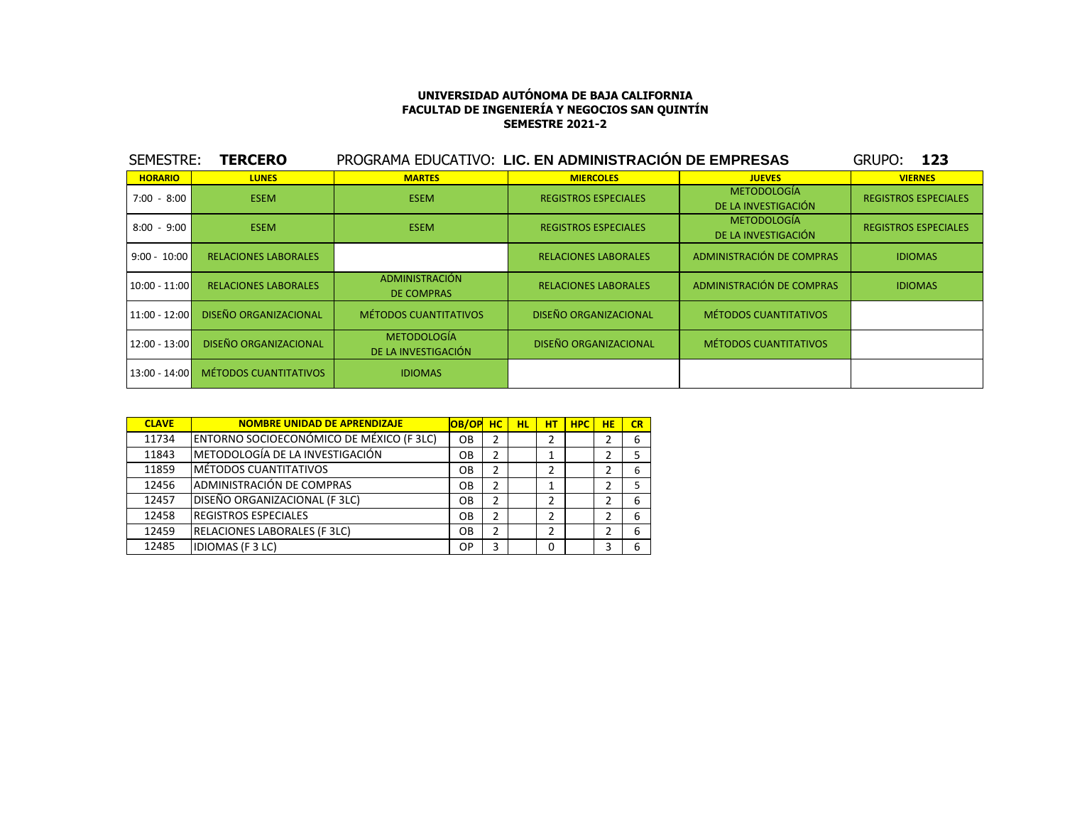| SEMESTRE:       | <b>TERCERO</b>               | PROGRAMA EDUCATIVO: LIC. EN ADMINISTRACIÓN DE EMPRESAS |                              |                                           | <b>GRUPO:</b><br>- 123      |
|-----------------|------------------------------|--------------------------------------------------------|------------------------------|-------------------------------------------|-----------------------------|
| <b>HORARIO</b>  | <b>LUNES</b>                 | <b>MARTES</b>                                          | <b>MIERCOLES</b>             | <b>JUEVES</b>                             | <b>VIERNES</b>              |
| $7:00 - 8:00$   | <b>ESEM</b>                  | <b>ESEM</b>                                            | <b>REGISTROS ESPECIALES</b>  | <b>METODOLOGÍA</b><br>DE LA INVESTIGACIÓN | <b>REGISTROS ESPECIALES</b> |
| $8:00 - 9:00$   | <b>ESEM</b>                  | <b>ESEM</b>                                            | <b>REGISTROS ESPECIALES</b>  | <b>METODOLOGÍA</b><br>DE LA INVESTIGACIÓN | <b>REGISTROS ESPECIALES</b> |
| $9:00 - 10:00$  | <b>RELACIONES LABORALES</b>  |                                                        | <b>RELACIONES LABORALES</b>  | ADMINISTRACIÓN DE COMPRAS                 | <b>IDIOMAS</b>              |
| $10:00 - 11:00$ | <b>RELACIONES LABORALES</b>  | ADMINISTRACIÓN<br><b>DE COMPRAS</b>                    | <b>RELACIONES LABORALES</b>  | ADMINISTRACIÓN DE COMPRAS                 | <b>IDIOMAS</b>              |
| $11:00 - 12:00$ | <b>DISEÑO ORGANIZACIONAL</b> | <b>MÉTODOS CUANTITATIVOS</b>                           | <b>DISEÑO ORGANIZACIONAL</b> | <b>MÉTODOS CUANTITATIVOS</b>              |                             |
| $12:00 - 13:00$ | <b>DISEÑO ORGANIZACIONAL</b> | <b>METODOLOGÍA</b><br>DE LA INVESTIGACIÓN              | <b>DISEÑO ORGANIZACIONAL</b> | <b>MÉTODOS CUANTITATIVOS</b>              |                             |
| $13:00 - 14:00$ | <b>MÉTODOS CUANTITATIVOS</b> | <b>IDIOMAS</b>                                         |                              |                                           |                             |

| <b>CLAVE</b> | <b>NOMBRE UNIDAD DE APRENDIZAJE</b>      | OB/OP     | HC.            | <b>HL</b> | НT | <b>HPC</b> | <b>HE</b> | CR |
|--------------|------------------------------------------|-----------|----------------|-----------|----|------------|-----------|----|
| 11734        | ENTORNO SOCIOECONÓMICO DE MÉXICO (F 3LC) | OB        | $\overline{2}$ |           | 2  |            |           | 6  |
| 11843        | METODOLOGÍA DE LA INVESTIGACIÓN          | OB        | $\overline{2}$ |           |    |            |           | 5  |
| 11859        | MÉTODOS CUANTITATIVOS                    | OB        | $\overline{2}$ |           | 2  |            |           | 6  |
| 12456        | ADMINISTRACIÓN DE COMPRAS                | OB        | $\overline{2}$ |           |    |            |           | 5  |
| 12457        | DISEÑO ORGANIZACIONAL (F 3LC)            | OB.       | 2              |           | 2  |            |           | 6  |
| 12458        | <b>REGISTROS ESPECIALES</b>              | OB        | $\overline{2}$ |           | 2  |            |           | 6  |
| 12459        | <b>RELACIONES LABORALES (F3LC)</b>       | OB        | 2              |           | 2  |            | 2         | 6  |
| 12485        | <b>IDIOMAS (F3LC)</b>                    | <b>OP</b> | 3              |           | 0  |            | 3         | 6  |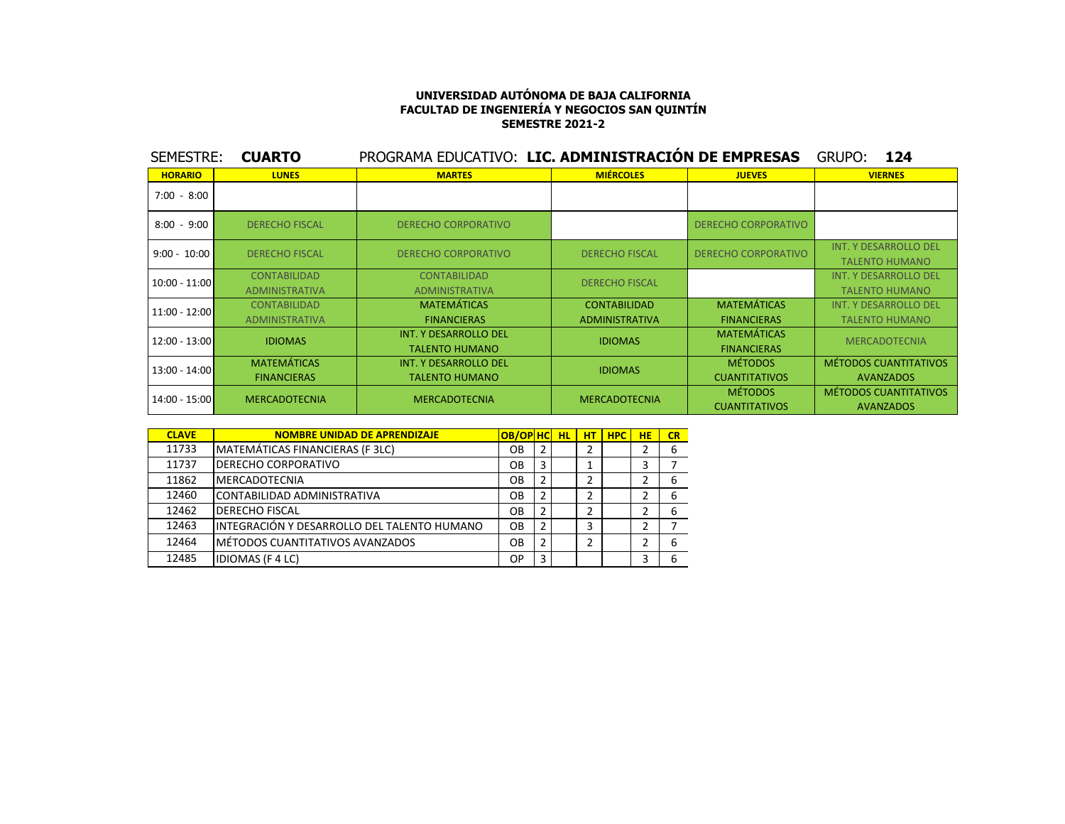| SEMESTRE:       | <b>CUARTO</b>                                | PROGRAMA EDUCATIVO: LIC. ADMINISTRACION DE EMPRESAS   |                                              |                                          | GRUPO:<br>124                                         |
|-----------------|----------------------------------------------|-------------------------------------------------------|----------------------------------------------|------------------------------------------|-------------------------------------------------------|
| <b>HORARIO</b>  | <b>LUNES</b>                                 | <b>MARTES</b>                                         | <b>MIÉRCOLES</b>                             | <b>JUEVES</b>                            | <b>VIERNES</b>                                        |
| $7:00 - 8:00$   |                                              |                                                       |                                              |                                          |                                                       |
| $8:00 - 9:00$   | <b>DERECHO FISCAL</b>                        | <b>DERECHO CORPORATIVO</b>                            |                                              | <b>DERECHO CORPORATIVO</b>               |                                                       |
| $9:00 - 10:00$  | <b>DERECHO FISCAL</b>                        | <b>DERECHO CORPORATIVO</b>                            | <b>DERECHO FISCAL</b>                        | <b>DERECHO CORPORATIVO</b>               | <b>INT. Y DESARROLLO DEL</b><br><b>TALENTO HUMANO</b> |
| $10:00 - 11:00$ | <b>CONTABILIDAD</b><br><b>ADMINISTRATIVA</b> | <b>CONTABILIDAD</b><br><b>ADMINISTRATIVA</b>          | <b>DERECHO FISCAL</b>                        |                                          | <b>INT. Y DESARROLLO DEL</b><br><b>TALENTO HUMANO</b> |
| 11:00 - 12:00   | <b>CONTABILIDAD</b><br><b>ADMINISTRATIVA</b> | <b>MATEMÁTICAS</b><br><b>FINANCIERAS</b>              | <b>CONTABILIDAD</b><br><b>ADMINISTRATIVA</b> | <b>MATEMÁTICAS</b><br><b>FINANCIERAS</b> | <b>INT. Y DESARROLLO DEL</b><br><b>TALENTO HUMANO</b> |
| 12:00 - 13:00   | <b>IDIOMAS</b>                               | <b>INT. Y DESARROLLO DEL</b><br><b>TALENTO HUMANO</b> | <b>IDIOMAS</b>                               | <b>MATEMÁTICAS</b><br><b>FINANCIERAS</b> | <b>MERCADOTECNIA</b>                                  |
| 13:00 - 14:00   | <b>MATEMÁTICAS</b><br><b>FINANCIERAS</b>     | INT. Y DESARROLLO DEL<br><b>TALENTO HUMANO</b>        | <b>IDIOMAS</b>                               | <b>MÉTODOS</b><br><b>CUANTITATIVOS</b>   | <b>MÉTODOS CUANTITATIVOS</b><br><b>AVANZADOS</b>      |
| 14:00 - 15:00   | <b>MERCADOTECNIA</b>                         | <b>MERCADOTECNIA</b>                                  | <b>MERCADOTECNIA</b>                         | <b>MÉTODOS</b><br><b>CUANTITATIVOS</b>   | MÉTODOS CUANTITATIVOS<br><b>AVANZADOS</b>             |

| <b>CLAVE</b> | <b>NOMBRE UNIDAD DE APRENDIZAJE</b>         | <b>OB/OP HC</b> |   | <b>HL</b> | <b>HT</b> | <b>HPC</b> | <b>HE</b> | CR |
|--------------|---------------------------------------------|-----------------|---|-----------|-----------|------------|-----------|----|
| 11733        | MATEMÁTICAS FINANCIERAS (F 3LC)             | OВ              | 2 |           |           |            |           | 6  |
| 11737        | <b>DERECHO CORPORATIVO</b>                  | OВ              | 3 |           |           |            | 3         |    |
| 11862        | <b>MERCADOTECNIA</b>                        | OВ              | 2 |           | 2         |            | 2         | 6  |
| 12460        | CONTABILIDAD ADMINISTRATIVA                 | OВ              | 2 |           | 2         |            | 2         | 6  |
| 12462        | DERECHO FISCAL                              | OВ              | 2 |           | 2         |            | 2         | 6  |
| 12463        | INTEGRACIÓN Y DESARROLLO DEL TALENTO HUMANO | OΒ              | 2 |           | 3         |            | 2         |    |
| 12464        | MÉTODOS CUANTITATIVOS AVANZADOS             | OВ              | 2 |           | 2         |            | 2         | 6  |
| 12485        | <b>IDIOMAS (F 4 LC)</b>                     | ОP              | 3 |           |           |            | 3         | 6  |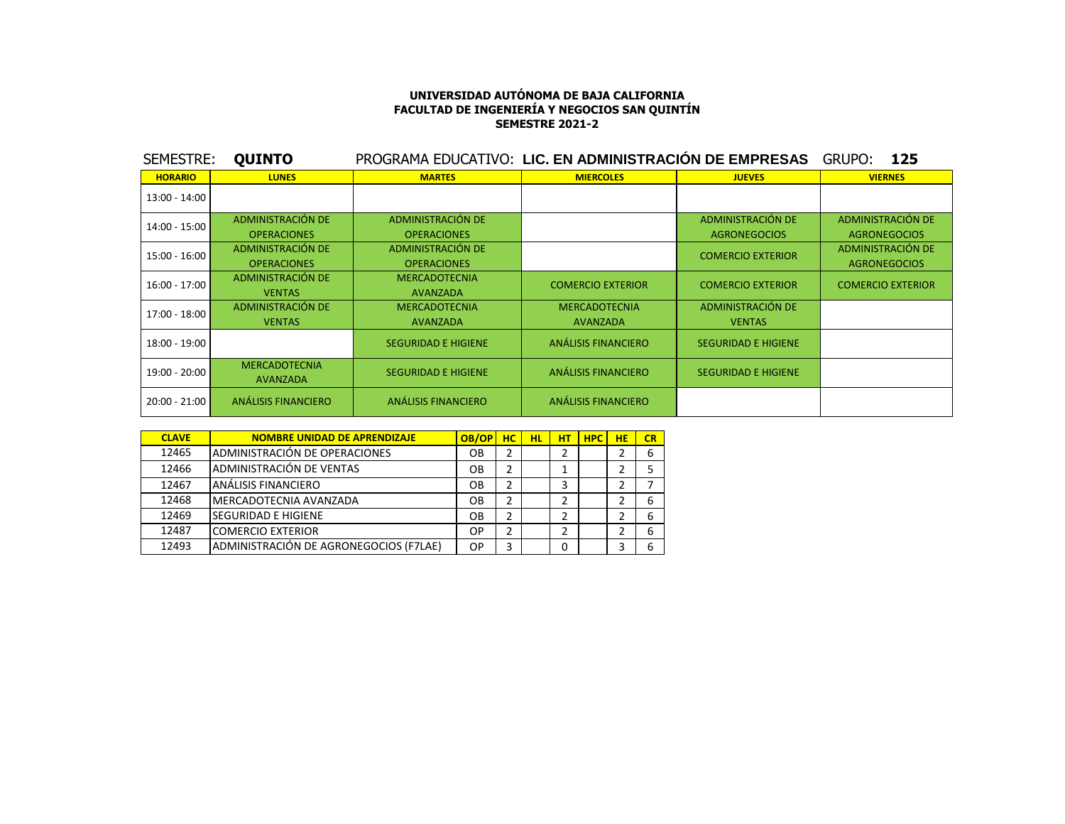| SEMESTRE:       | <b>QUINTO</b>                           | PROGRAMA EDUCATIVO: LIC. EN ADMINISTRACIÓN DE EMPRESAS |                                         |                                          | GRUPO:<br>125                            |
|-----------------|-----------------------------------------|--------------------------------------------------------|-----------------------------------------|------------------------------------------|------------------------------------------|
| <b>HORARIO</b>  | <b>LUNES</b>                            | <b>MARTES</b>                                          | <b>MIERCOLES</b>                        | <b>JUEVES</b>                            | <b>VIERNES</b>                           |
| $13:00 - 14:00$ |                                         |                                                        |                                         |                                          |                                          |
| 14:00 - 15:00   | ADMINISTRACIÓN DE<br><b>OPERACIONES</b> | <b>ADMINISTRACIÓN DE</b><br><b>OPERACIONES</b>         |                                         | ADMINISTRACIÓN DE<br><b>AGRONEGOCIOS</b> | ADMINISTRACIÓN DE<br><b>AGRONEGOCIOS</b> |
| 15:00 - 16:00   | ADMINISTRACIÓN DE<br><b>OPERACIONES</b> | <b>ADMINISTRACIÓN DE</b><br><b>OPERACIONES</b>         |                                         | <b>COMERCIO EXTERIOR</b>                 | ADMINISTRACIÓN DE<br><b>AGRONEGOCIOS</b> |
| $16:00 - 17:00$ | ADMINISTRACIÓN DE<br><b>VENTAS</b>      | <b>MERCADOTECNIA</b><br><b>AVANZADA</b>                | <b>COMERCIO EXTERIOR</b>                | <b>COMERCIO EXTERIOR</b>                 | <b>COMERCIO EXTERIOR</b>                 |
| 17:00 - 18:00   | ADMINISTRACIÓN DE<br><b>VENTAS</b>      | <b>MERCADOTECNIA</b><br>AVANZADA                       | <b>MERCADOTECNIA</b><br><b>AVANZADA</b> | ADMINISTRACIÓN DE<br><b>VENTAS</b>       |                                          |
| 18:00 - 19:00   |                                         | <b>SEGURIDAD E HIGIENE</b>                             | ANÁLISIS FINANCIERO                     | <b>SEGURIDAD E HIGIENE</b>               |                                          |
| 19:00 - 20:00   | <b>MERCADOTECNIA</b><br><b>AVANZADA</b> | <b>SEGURIDAD E HIGIENE</b>                             | ANÁLISIS FINANCIERO                     | <b>SEGURIDAD E HIGIENE</b>               |                                          |
| $20:00 - 21:00$ | ANÁLISIS FINANCIERO                     | <b>ANÁLISIS FINANCIERO</b>                             | ANÁLISIS FINANCIERO                     |                                          |                                          |

| <b>CLAVE</b> | <b>NOMBRE UNIDAD DE APRENDIZAJE</b>     | OB/OP | HC. | <b>HL</b> | HT | <b>HPC</b> | <b>HE</b> | CR |
|--------------|-----------------------------------------|-------|-----|-----------|----|------------|-----------|----|
| 12465        | ADMINISTRACIÓN DE OPERACIONES           | OВ    |     |           |    |            |           | 6  |
| 12466        | ADMINISTRACIÓN DE VENTAS                | OВ    |     |           |    |            |           |    |
| 12467        | IANÁLISIS FINANCIERO                    | OВ    |     |           | 3  |            |           |    |
| 12468        | IMERCADOTECNIA AVANZADA                 | OВ    |     |           |    |            |           | 6  |
| 12469        | <b>ISEGURIDAD E HIGIENE</b>             | OΒ    |     |           |    |            |           | 6  |
| 12487        | <b>COMERCIO EXTERIOR</b>                | OP    |     |           | ∍  |            |           | 6  |
| 12493        | IADMINISTRACIÓN DE AGRONEGOCIOS (F7LAE) | OP    |     |           | 0  |            |           | 6  |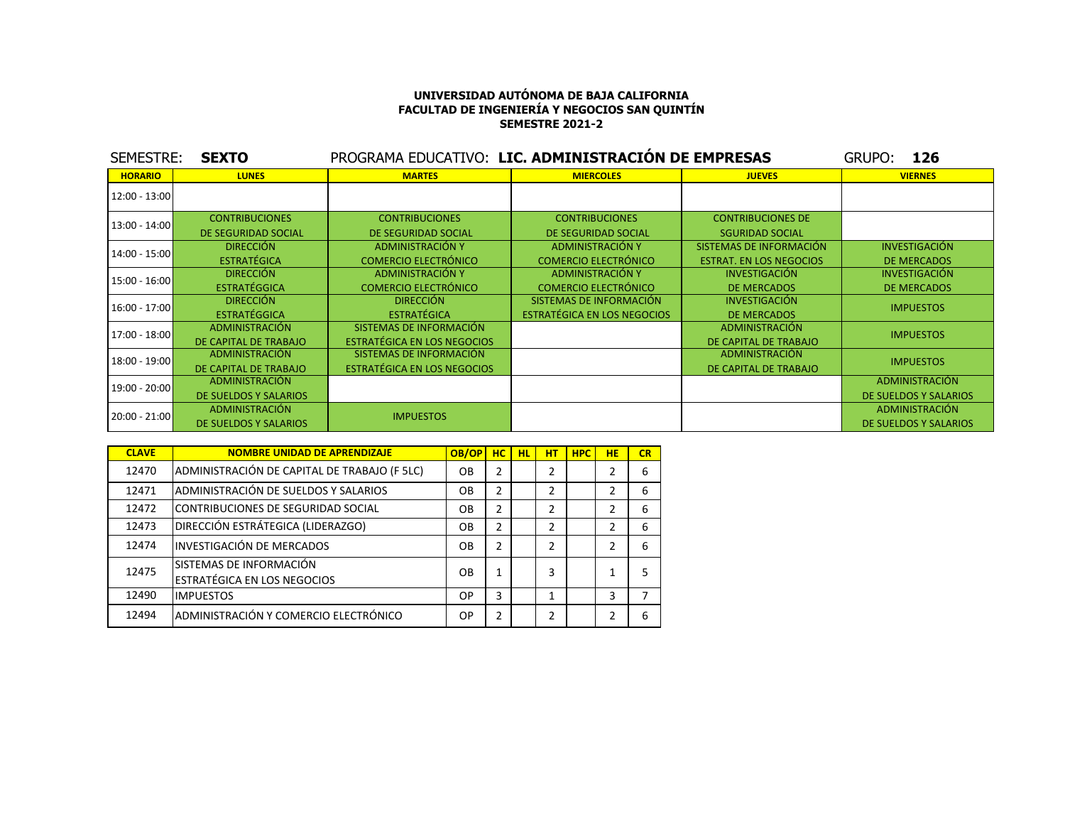| <b>SEMESTRE:</b> | <b>SEXTO</b>          | PROGRAMA EDUCATIVO: LIC. ADMINISTRACIÓN DE EMPRESAS |                                    |                                | <b>GRUPO:</b><br>126  |
|------------------|-----------------------|-----------------------------------------------------|------------------------------------|--------------------------------|-----------------------|
| <b>HORARIO</b>   | <b>LUNES</b>          | <b>MARTES</b>                                       | <b>MIERCOLES</b>                   | <b>JUEVES</b>                  | <b>VIERNES</b>        |
| 12:00 - 13:00    |                       |                                                     |                                    |                                |                       |
| 13:00 - 14:00    | <b>CONTRIBUCIONES</b> | <b>CONTRIBUCIONES</b>                               | <b>CONTRIBUCIONES</b>              | <b>CONTRIBUCIONES DE</b>       |                       |
|                  | DE SEGURIDAD SOCIAL   | DE SEGURIDAD SOCIAL                                 | DE SEGURIDAD SOCIAL                | <b>SGURIDAD SOCIAL</b>         |                       |
| 14:00 - 15:00    | <b>DIRECCIÓN</b>      | <b>ADMINISTRACIÓN Y</b>                             | <b>ADMINISTRACIÓN Y</b>            | SISTEMAS DE INFORMACIÓN        | <b>INVESTIGACIÓN</b>  |
|                  | <b>ESTRATÉGICA</b>    | <b>COMERCIO ELECTRÓNICO</b>                         | <b>COMERCIO ELECTRÓNICO</b>        | <b>ESTRAT. EN LOS NEGOCIOS</b> | <b>DE MERCADOS</b>    |
| 15:00 - 16:00    | <b>DIRECCIÓN</b>      | ADMINISTRACIÓN Y                                    | ADMINISTRACIÓN Y                   | <b>INVESTIGACIÓN</b>           | <b>INVESTIGACIÓN</b>  |
|                  | <b>ESTRATÉGGICA</b>   | <b>COMERCIO ELECTRÓNICO</b>                         | <b>COMERCIO ELECTRÓNICO</b>        | <b>DE MERCADOS</b>             | <b>DE MERCADOS</b>    |
| 16:00 - 17:00    | <b>DIRECCIÓN</b>      | <b>DIRECCIÓN</b>                                    | SISTEMAS DE INFORMACIÓN            | <b>INVESTIGACIÓN</b>           | <b>IMPUESTOS</b>      |
|                  | <b>ESTRATÉGGICA</b>   | <b>ESTRATÉGICA</b>                                  | <b>ESTRATÉGICA EN LOS NEGOCIOS</b> | <b>DE MERCADOS</b>             |                       |
| 17:00 - 18:00    | ADMINISTRACIÓN        | SISTEMAS DE INFORMACIÓN                             |                                    | <b>ADMINISTRACIÓN</b>          | <b>IMPUESTOS</b>      |
|                  | DE CAPITAL DE TRABAJO | ESTRATÉGICA EN LOS NEGOCIOS                         |                                    | DE CAPITAL DE TRABAJO          |                       |
| 18:00 - 19:00    | ADMINISTRACIÓN        | SISTEMAS DE INFORMACIÓN                             |                                    | ADMINISTRACIÓN                 | <b>IMPUESTOS</b>      |
|                  | DE CAPITAL DE TRABAJO | ESTRATÉGICA EN LOS NEGOCIOS                         |                                    | DE CAPITAL DE TRABAJO          |                       |
| 19:00 - 20:00    | ADMINISTRACIÓN        |                                                     |                                    |                                | ADMINISTRACIÓN        |
|                  | DE SUELDOS Y SALARIOS |                                                     |                                    |                                | DE SUELDOS Y SALARIOS |
| 20:00 - 21:00    | ADMINISTRACIÓN        | <b>IMPUESTOS</b>                                    |                                    |                                | ADMINISTRACIÓN        |
|                  | DE SUELDOS Y SALARIOS |                                                     |                                    |                                | DE SUELDOS Y SALARIOS |

| <b>CLAVE</b> | <b>NOMBRE UNIDAD DE APRENDIZAJE</b>                           | OB/OP | HC.            | <b>HL</b> | нT             | <b>HPC</b> | <b>HE</b>      | CR |
|--------------|---------------------------------------------------------------|-------|----------------|-----------|----------------|------------|----------------|----|
| 12470        | ADMINISTRACIÓN DE CAPITAL DE TRABAJO (F 5LC)                  | OΒ    | $\overline{2}$ |           | 2              |            | $\mathfrak z$  | 6  |
| 12471        | ADMINISTRACIÓN DE SUELDOS Y SALARIOS                          | OΒ    | 2              |           | 2              |            | $\mathcal{P}$  | 6  |
| 12472        | CONTRIBUCIONES DE SEGURIDAD SOCIAL                            | OB    | 2              |           | 2              |            | $\mathcal{P}$  | 6  |
| 12473        | DIRECCIÓN ESTRÁTEGICA (LIDERAZGO)                             | OB    | 2              |           | 2              |            | $\mathcal{P}$  | 6  |
| 12474        | <b>INVESTIGACIÓN DE MERCADOS</b>                              | OB    | $\overline{2}$ |           | $\overline{2}$ |            | $\mathfrak{p}$ | 6  |
| 12475        | SISTEMAS DE INFORMACIÓN<br><b>ESTRATÉGICA EN LOS NEGOCIOS</b> | OB    | 1              |           | 3              |            |                | 5  |
| 12490        | <b>IMPUESTOS</b>                                              | OP    | 3              |           | 1              |            | 3              |    |
| 12494        | ADMINISTRACIÓN Y COMERCIO ELECTRÓNICO                         | OP    | $\overline{2}$ |           | 2              |            | 2              | 6  |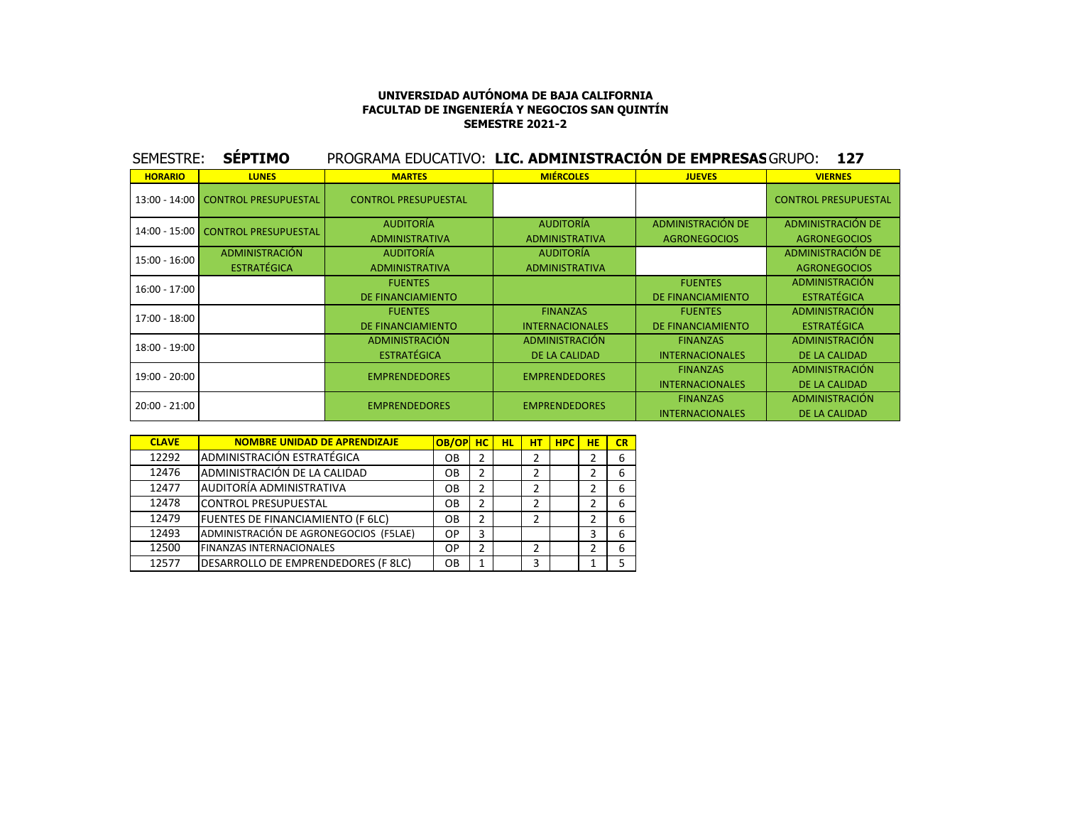| SEMESTRE:      | <b>SÉPTIMO</b>                     | PROGRAMA EDUCATIVO: LIC. ADMINISTRACIÓN DE EMPRESAS GRUPO: |                        |                        | 127                         |
|----------------|------------------------------------|------------------------------------------------------------|------------------------|------------------------|-----------------------------|
| <b>HORARIO</b> | <b>LUNES</b>                       | <b>MARTES</b>                                              | <b>MIÉRCOLES</b>       | <b>JUEVES</b>          | <b>VIERNES</b>              |
|                | 13:00 - 14:00 CONTROL PRESUPUESTAL | <b>CONTROL PRESUPUESTAL</b>                                |                        |                        | <b>CONTROL PRESUPUESTAL</b> |
|                | 14:00 - 15:00 CONTROL PRESUPUESTAL | <b>AUDITORÍA</b>                                           | <b>AUDITORÍA</b>       | ADMINISTRACIÓN DE      | <b>ADMINISTRACIÓN DE</b>    |
|                |                                    | <b>ADMINISTRATIVA</b>                                      | <b>ADMINISTRATIVA</b>  | <b>AGRONEGOCIOS</b>    | <b>AGRONEGOCIOS</b>         |
| 15:00 - 16:00  | <b>ADMINISTRACIÓN</b>              | <b>AUDITORÍA</b>                                           | <b>AUDITORÍA</b>       |                        | ADMINISTRACIÓN DE           |
|                | <b>ESTRATÉGICA</b>                 | <b>ADMINISTRATIVA</b>                                      | <b>ADMINISTRATIVA</b>  |                        | <b>AGRONEGOCIOS</b>         |
| 16:00 - 17:00  |                                    | <b>FUENTES</b>                                             |                        | <b>FUENTES</b>         | <b>ADMINISTRACIÓN</b>       |
|                |                                    | DE FINANCIAMIENTO                                          |                        | DE FINANCIAMIENTO      | <b>ESTRATÉGICA</b>          |
| 17:00 - 18:00  |                                    | <b>FUENTES</b>                                             | <b>FINANZAS</b>        | <b>FUENTES</b>         | <b>ADMINISTRACIÓN</b>       |
|                |                                    | DE FINANCIAMIENTO                                          | <b>INTERNACIONALES</b> | DE FINANCIAMIENTO      | <b>ESTRATÉGICA</b>          |
| 18:00 - 19:00  |                                    | <b>ADMINISTRACIÓN</b>                                      | <b>ADMINISTRACIÓN</b>  | <b>FINANZAS</b>        | <b>ADMINISTRACIÓN</b>       |
|                |                                    | <b>ESTRATÉGICA</b>                                         | DE LA CALIDAD          | <b>INTERNACIONALES</b> | <b>DE LA CALIDAD</b>        |
| 19:00 - 20:00  |                                    | <b>EMPRENDEDORES</b>                                       | <b>EMPRENDEDORES</b>   | <b>FINANZAS</b>        | <b>ADMINISTRACIÓN</b>       |
|                |                                    |                                                            |                        | <b>INTERNACIONALES</b> | <b>DE LA CALIDAD</b>        |
| 20:00 - 21:00  |                                    | <b>EMPRENDEDORES</b>                                       | <b>EMPRENDEDORES</b>   | <b>FINANZAS</b>        | ADMINISTRACIÓN              |
|                |                                    |                                                            |                        | <b>INTERNACIONALES</b> | DE LA CALIDAD               |

| <b>CLAVE</b> | <b>NOMBRE UNIDAD DE APRENDIZAJE</b>    | OB/OP | HC. | <b>HL</b> | нт | <b>HPC</b> | <b>HE</b> | CR |
|--------------|----------------------------------------|-------|-----|-----------|----|------------|-----------|----|
| 12292        | ADMINISTRACIÓN ESTRATÉGICA             | OΒ    | 2   |           | 2  |            |           | 6  |
| 12476        | ADMINISTRACIÓN DE LA CALIDAD           | OΒ    | 2   |           | 2  |            |           | 6  |
| 12477        | AUDITORÍA ADMINISTRATIVA               | OΒ    | 2   |           | 2  |            |           | 6  |
| 12478        | <b>CONTROL PRESUPUESTAL</b>            | OΒ    | 2   |           | 2  |            | 2         | 6  |
| 12479        | FUENTES DE FINANCIAMIENTO (F 6LC)      | OΒ    | 2   |           | 2  |            | 2         | 6  |
| 12493        | ADMINISTRACIÓN DE AGRONEGOCIOS (F5LAE) | ОP    | 3   |           |    |            | 3         | 6  |
| 12500        | <b>FINANZAS INTERNACIONALES</b>        | ОP    | 2   |           | 2  |            | 2         | 6  |
| 12577        | DESARROLLO DE EMPRENDEDORES (F 8LC)    | OΒ    | 1   |           | 3  |            |           | 5  |